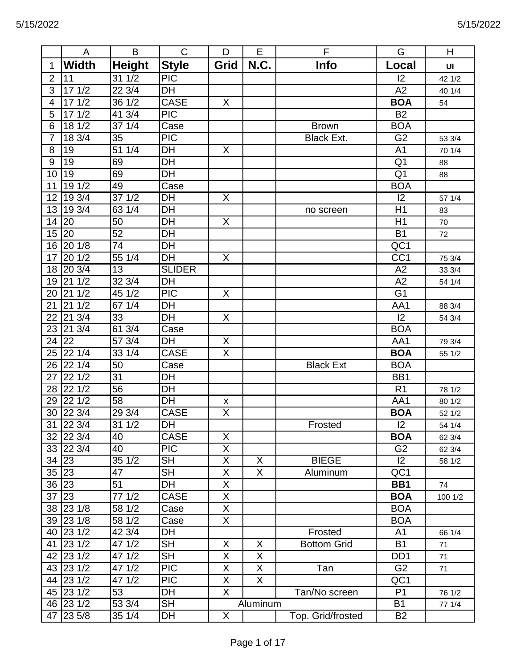|                | A                | B                | $\mathsf{C}$                      | D                       | E        | F                  | G                | H       |
|----------------|------------------|------------------|-----------------------------------|-------------------------|----------|--------------------|------------------|---------|
| 1              | <b>Width</b>     | <b>Height</b>    | <b>Style</b>                      | Grid                    | N.C.     | Info               | Local            | UI      |
| $\overline{2}$ | 11               | 31 1/2           | <b>PIC</b>                        |                         |          |                    | 12               | 42 1/2  |
| $\overline{3}$ | 171/2            | $22\frac{3}{4}$  | $\overline{DH}$                   |                         |          |                    | A2               | 40 1/4  |
| 4              | 171/2            | 36 1/2           | <b>CASE</b>                       | X                       |          |                    | <b>BOA</b>       | 54      |
| 5              | 171/2            | 41 3/4           | $\overline{PIC}$                  |                         |          |                    | $\overline{B2}$  |         |
| 6              | 181/2            | 37 1/4           | Case                              |                         |          | <b>Brown</b>       | <b>BOA</b>       |         |
| 7              | 18 3/4           | 35               | <b>PIC</b>                        |                         |          | <b>Black Ext.</b>  | G <sub>2</sub>   | 53 3/4  |
| 8              | 19               | 511/4            | $\overline{\mathsf{D}\mathsf{H}}$ | X                       |          |                    | A <sub>1</sub>   | 70 1/4  |
| 9              | 19               | 69               | DH                                |                         |          |                    | Q <sub>1</sub>   | 88      |
| 10             | 19               | 69               | DH                                |                         |          |                    | Q <sub>1</sub>   | 88      |
| 11             | 191/2            | 49               | Case                              |                         |          |                    | <b>BOA</b>       |         |
| 12             | 193/4            | $37 \frac{1}{2}$ | DH                                | X                       |          |                    | 12               | 57 1/4  |
| 13             | 19 3/4           | 63 1/4           | DH                                |                         |          | no screen          | H1               | 83      |
| 14             | 20               | $\overline{50}$  | $\overline{DH}$                   | $\overline{X}$          |          |                    | H1               | 70      |
| 15             | 20               | 52               | DH                                |                         |          |                    | <b>B1</b>        | 72      |
| 16             | 201/8            | 74               | DH                                |                         |          |                    | $\overline{OC1}$ |         |
| 17             | 201/2            | 55 1/4           | DH                                | X                       |          |                    | $\overline{CC1}$ | 75 3/4  |
| 18             | 20 3/4           | 13               | <b>SLIDER</b>                     |                         |          |                    | A2               | 33 3/4  |
| 19             | 211/2            | 32 3/4           | DH                                |                         |          |                    | A2               | 54 1/4  |
| 20             | 211/2            | 451/2            | <b>PIC</b>                        | X                       |          |                    | G <sub>1</sub>   |         |
| 21             | 211/2            | 67 1/4           | DH                                |                         |          |                    | AA1              | 88 3/4  |
| 22             | $21 \frac{3}{4}$ | 33               | DH                                | X                       |          |                    | $\overline{12}$  | 54 3/4  |
| 23             | 21 3/4           | 613/4            | Case                              |                         |          |                    | <b>BOA</b>       |         |
| 24             | 22               | 57 3/4           | DH                                | X                       |          |                    | AA1              | 79 3/4  |
| 25             | 221/4            | 33 1/4           | <b>CASE</b>                       | $\overline{\mathsf{X}}$ |          |                    | <b>BOA</b>       | 55 1/2  |
| 26             | 221/4            | 50               | Case                              |                         |          | <b>Black Ext</b>   | <b>BOA</b>       |         |
| 27             | 22 1/2           | 31               | DH                                |                         |          |                    | BB1              |         |
| 28             | 22 1/2           | 56               | DH                                |                         |          |                    | R <sub>1</sub>   | 78 1/2  |
| 29             | 221/2            | 58               | DH                                | X                       |          |                    | AA1              | 80 1/2  |
|                | 30 22 3/4        | 293/4            | <b>CASE</b>                       | X                       |          |                    | <b>BOA</b>       | 52 1/2  |
|                | 31 22 3/4        | $31 \frac{1}{2}$ | DH                                |                         |          | Frosted            | 2                | 54 1/4  |
|                | 32 22 3/4        | 40               | <b>CASE</b>                       | X                       |          |                    | <b>BOA</b>       | 62 3/4  |
|                | 33 22 3/4        | 40               | <b>PIC</b>                        | X                       |          |                    | G <sub>2</sub>   | 62 3/4  |
| 34 23          |                  | 35 1/2           | <b>SH</b>                         | X                       | X        | <b>BIEGE</b>       | 2                | 58 1/2  |
|                | 35 23            | 47               | <b>SH</b>                         | X                       | X        | Aluminum           | QC1              |         |
|                | 36 23            | 51               | DH                                | X                       |          |                    | BB1              | 74      |
| 37 23          |                  | 77 1/2           | <b>CASE</b>                       | X                       |          |                    | <b>BOA</b>       | 100 1/2 |
|                | 38 23 1/8        | 58 1/2           | Case                              | X                       |          |                    | <b>BOA</b>       |         |
|                | 39 23 1/8        | 58 1/2           | Case                              | $\overline{X}$          |          |                    | <b>BOA</b>       |         |
|                | 40 23 1/2        | 42 3/4           | DH                                |                         |          | Frosted            | A <sub>1</sub>   | 66 1/4  |
|                | 41 23 1/2        | 47 1/2           | <b>SH</b>                         | X                       | X        | <b>Bottom Grid</b> | <b>B1</b>        | 71      |
|                | 42 23 1/2        | 47 1/2           | <b>SH</b>                         | $\overline{X}$          | X        |                    | D <sub>D</sub> 1 | 71      |
|                | 43 23 1/2        | 47 1/2           | <b>PIC</b>                        | X                       | X        | Tan                | G <sub>2</sub>   | 71      |
|                | 44 23 1/2        | 47 1/2           | <b>PIC</b>                        | X                       | X        |                    | QC1              |         |
|                | 45 23 1/2        | 53               | DH                                | $\overline{X}$          |          | Tan/No screen      | P <sub>1</sub>   | 76 1/2  |
|                | 46 23 1/2        | 53 3/4           | <b>SH</b>                         |                         | Aluminum |                    | <b>B1</b>        | 77 1/4  |
| 47             | $\sqrt{23}5/8$   | 35 1/4           | DH                                | X                       |          | Top. Grid/frosted  | <b>B2</b>        |         |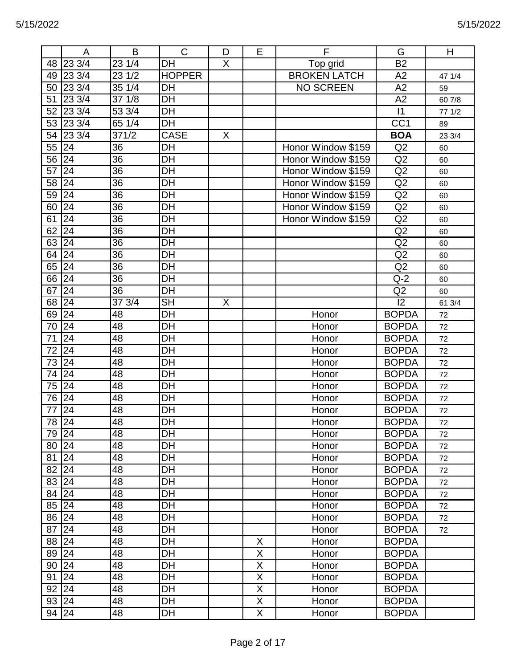|    | A                | B               | $\mathsf{C}$             | D              | E                       | F                   | G                | H      |
|----|------------------|-----------------|--------------------------|----------------|-------------------------|---------------------|------------------|--------|
|    | 48 23 3/4        | 23 1/4          | <b>DH</b>                | $\mathsf{X}$   |                         | Top grid            | <b>B2</b>        |        |
| 49 | 23 3/4           | 23 1/2          | <b>HOPPER</b>            |                |                         | <b>BROKEN LATCH</b> | A2               | 47 1/4 |
|    | 50 23 3/4        | 35 1/4          | DH                       |                |                         | <b>NO SCREEN</b>    | A2               | 59     |
| 51 | 23 3/4           | 37 1/8          | DH                       |                |                         |                     | A2               | 60 7/8 |
| 52 | $23 \frac{3}{4}$ | 53 3/4          | $\overline{DH}$          |                |                         |                     | $\overline{11}$  | 771/2  |
|    | 53 23 3/4        | 65 1/4          | DH                       |                |                         |                     | $\overline{CC1}$ | 89     |
|    | 54 23 3/4        | 371/2           | <b>CASE</b>              | X              |                         |                     | <b>BOA</b>       | 23 3/4 |
| 55 | 24               | 36              | DH                       |                |                         | Honor Window \$159  | Q2               | 60     |
| 56 | 24               | 36              | DH                       |                |                         | Honor Window \$159  | Q2               | 60     |
| 57 | 24               | 36              | $\overline{DH}$          |                |                         | Honor Window \$159  | Q2               | 60     |
| 58 | 24               | 36              | DH                       |                |                         | Honor Window \$159  | Q2               | 60     |
| 59 | 24               | 36              | DH                       |                |                         | Honor Window \$159  | Q2               | 60     |
| 60 | 24               | 36              | DH                       |                |                         | Honor Window \$159  | Q2               | 60     |
| 61 | 24               | 36              | DH                       |                |                         | Honor Window \$159  | Q2               | 60     |
| 62 | 24               | 36              | DH                       |                |                         |                     | Q2               | 60     |
| 63 | 24               | $\overline{36}$ | DH                       |                |                         |                     | Q2               | 60     |
| 64 | 24               | 36              | <b>DH</b>                |                |                         |                     | Q2               | 60     |
| 65 | 24               | 36              | DH                       |                |                         |                     | Q2               | 60     |
|    | 66 24            | 36              | DH                       |                |                         |                     | $Q-2$            | 60     |
| 67 | 24               | 36              | DH                       |                |                         |                     | Q2               | 60     |
| 68 | $\overline{24}$  | 373/4           | $\overline{\mathsf{SH}}$ | $\overline{X}$ |                         |                     | $\overline{12}$  | 61 3/4 |
| 69 | 24               | 48              | <b>DH</b>                |                |                         | Honor               | <b>BOPDA</b>     | 72     |
| 70 | 24               | 48              | DH                       |                |                         | Honor               | <b>BOPDA</b>     | 72     |
| 71 | 24               | 48              | DH                       |                |                         | Honor               | <b>BOPDA</b>     | 72     |
| 72 | 24               | 48              | DH                       |                |                         | Honor               | <b>BOPDA</b>     | 72     |
| 73 | 24               | 48              | DH                       |                |                         | Honor               | <b>BOPDA</b>     | 72     |
| 74 | 24               | 48              | DH                       |                |                         | Honor               | <b>BOPDA</b>     | 72     |
| 75 | 24               | 48              | DH                       |                |                         | Honor               | <b>BOPDA</b>     | 72     |
| 76 | 24               | 48              | DH                       |                |                         | Honor               | <b>BOPDA</b>     | 72     |
| 77 | 24               | 48              | DH                       |                |                         | Honor               | <b>BOPDA</b>     | 72     |
|    | 78 24            | 48              | DH                       |                |                         | Honor               | <b>BOPDA</b>     | $72\,$ |
|    | 79 24            | 48              | DH                       |                |                         | Honor               | <b>BOPDA</b>     | 72     |
|    | 80 24            | 48              | DH                       |                |                         | Honor               | <b>BOPDA</b>     | 72     |
| 81 | 24               | 48              | DH                       |                |                         | Honor               | <b>BOPDA</b>     | 72     |
| 82 | 24               | 48              | DH                       |                |                         | Honor               | <b>BOPDA</b>     | 72     |
|    | 83 24            | 48              | DH                       |                |                         | Honor               | <b>BOPDA</b>     | 72     |
|    | 84 24            | 48              | DH                       |                |                         | Honor               | <b>BOPDA</b>     | 72     |
|    | 85 24            | 48              | DH                       |                |                         | Honor               | <b>BOPDA</b>     | 72     |
|    | 86 24            | 48              | DH                       |                |                         | Honor               | <b>BOPDA</b>     | 72     |
| 87 | 24               | 48              | DH                       |                |                         | Honor               | <b>BOPDA</b>     | 72     |
|    | 88 24            | 48              | DH                       |                | X                       | Honor               | <b>BOPDA</b>     |        |
|    | 89 24            | 48              | DH                       |                | $\mathsf X$             | Honor               | <b>BOPDA</b>     |        |
|    | 90 24            | 48              | DH                       |                | $\overline{X}$          | Honor               | <b>BOPDA</b>     |        |
| 91 | 24               | 48              | DH                       |                | $\mathsf X$             | Honor               | <b>BOPDA</b>     |        |
|    | $92$ 24          | 48              | DH                       |                | $\mathsf X$             | Honor               | <b>BOPDA</b>     |        |
|    | 93 24            | 48              | DH                       |                | $\overline{\mathsf{X}}$ | Honor               | <b>BOPDA</b>     |        |
|    | 94 24            | 48              | DH                       |                | X                       | Honor               | <b>BOPDA</b>     |        |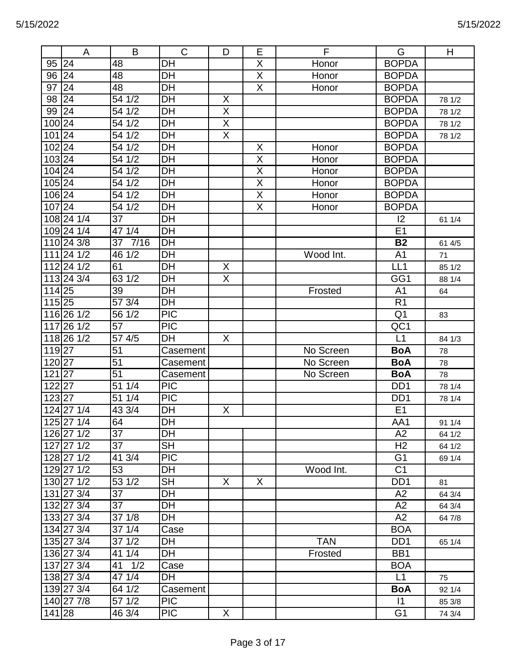|                    | A          | B          | $\mathsf C$      | D                       | Е                       | F          | G                           | H      |
|--------------------|------------|------------|------------------|-------------------------|-------------------------|------------|-----------------------------|--------|
| 95                 | 24         | 48         | <b>DH</b>        |                         | X                       | Honor      | <b>BOPDA</b>                |        |
| 96 24              |            | 48         | $\overline{DH}$  |                         | $\overline{\mathsf{X}}$ | Honor      | <b>BOPDA</b>                |        |
| 97                 | 24         | 48         | DH               |                         | $\overline{X}$          | Honor      | <b>BOPDA</b>                |        |
| 98                 | 24         | 541/2      | DH               | X                       |                         |            | <b>BOPDA</b>                | 78 1/2 |
| 99 24              |            | 54 1/2     | DH               | $\overline{\mathsf{X}}$ |                         |            | <b>BOPDA</b>                | 78 1/2 |
| 100 24             |            | 54 1/2     | DH               | $\overline{X}$          |                         |            | <b>BOPDA</b>                | 78 1/2 |
| 10124              |            | 54 1/2     | DH               | $\overline{\mathsf{X}}$ |                         |            | <b>BOPDA</b>                | 78 1/2 |
| $102$ 24           |            | 54 1/2     | DH               |                         | X                       | Honor      | <b>BOPDA</b>                |        |
| 103 24             |            | 54 1/2     | DH               |                         | X                       | Honor      | <b>BOPDA</b>                |        |
| $104\overline{24}$ |            | 54 1/2     | DH               |                         | $\overline{\mathsf{X}}$ | Honor      | <b>BOPDA</b>                |        |
| $105$  24          |            | 54 1/2     | DH               |                         | $\overline{\mathsf{X}}$ | Honor      | <b>BOPDA</b>                |        |
| 106 24             |            | 54 1/2     | DH               |                         | $\overline{X}$          | Honor      | <b>BOPDA</b>                |        |
| $107$  24          |            | 54 1/2     | $\overline{DH}$  |                         | $\overline{\mathsf{X}}$ | Honor      | <b>BOPDA</b>                |        |
|                    | 108 24 1/4 | 37         | DH               |                         |                         |            | 12                          | 61 1/4 |
|                    | 109 24 1/4 | 47 1/4     | DH               |                         |                         |            | E <sub>1</sub>              |        |
|                    | 110 24 3/8 | 7/16<br>37 | $\overline{DH}$  |                         |                         |            | <b>B2</b>                   | 61 4/5 |
|                    | 111 24 1/2 | 46 1/2     | <b>DH</b>        |                         |                         | Wood Int.  | A <sub>1</sub>              | 71     |
|                    | 112 24 1/2 | 61         | DH               | X                       |                         |            | LL1                         | 85 1/2 |
|                    | 113 24 3/4 | 63 1/2     | DH               | X                       |                         |            | GG1                         | 88 1/4 |
| 114 25             |            | 39         | DH               |                         |                         | Frosted    | A <sub>1</sub>              | 64     |
| 11525              |            | 57 3/4     | DH               |                         |                         |            | R <sub>1</sub>              |        |
|                    | 116 26 1/2 | 56 1/2     | $\overline{PIC}$ |                         |                         |            | Q <sub>1</sub>              | 83     |
|                    | 117 26 1/2 | 57         | <b>PIC</b>       |                         |                         |            | QC1                         |        |
|                    | 118 26 1/2 | 57 4/5     | DH               | X                       |                         |            | L1                          | 84 1/3 |
| 11927              |            | 51         | Casement         |                         |                         | No Screen  | <b>BoA</b>                  | 78     |
| 12027              |            | 51         | Casement         |                         |                         | No Screen  | <b>BoA</b>                  | 78     |
| $121\overline{27}$ |            | 51         | Casement         |                         |                         | No Screen  | <b>BoA</b>                  | 78     |
| 122 27             |            | 51 1/4     | <b>PIC</b>       |                         |                         |            | DD <sub>1</sub>             | 78 1/4 |
| 123 27             |            | 51 1/4     | $\overline{PIC}$ |                         |                         |            | D <sub>D</sub> <sub>1</sub> | 78 1/4 |
|                    | 124 27 1/4 | 43 3/4     | DH               | X                       |                         |            | E <sub>1</sub>              |        |
|                    | 125 27 1/4 | 64         | DH               |                         |                         |            | AA1                         | 91 1/4 |
|                    | 126 27 1/2 | 37         | <b>DH</b>        |                         |                         |            | A2                          | 64 1/2 |
|                    | 127 27 1/2 | 37         | <b>SH</b>        |                         |                         |            | H <sub>2</sub>              | 64 1/2 |
|                    | 128 27 1/2 | 41 3/4     | <b>PIC</b>       |                         |                         |            | G <sub>1</sub>              | 69 1/4 |
|                    | 129 27 1/2 | 53         | DH               |                         |                         | Wood Int.  | C <sub>1</sub>              |        |
|                    | 130 27 1/2 | 53 1/2     | <b>SH</b>        | X                       | X                       |            | D <sub>D</sub> 1            | 81     |
|                    | 131 27 3/4 | 37         | DH               |                         |                         |            | A2                          | 64 3/4 |
|                    | 132 27 3/4 | 37         | DH               |                         |                         |            | A2                          | 64 3/4 |
|                    | 133 27 3/4 | 37 1/8     | DH               |                         |                         |            | A2                          | 64 7/8 |
|                    | 134 27 3/4 | 37 1/4     | Case             |                         |                         |            | <b>BOA</b>                  |        |
|                    | 135 27 3/4 | 37 1/2     | DH               |                         |                         | <b>TAN</b> | D <sub>D</sub> 1            | 65 1/4 |
|                    | 136 27 3/4 | 41 1/4     | DH               |                         |                         | Frosted    | BB1                         |        |
|                    | 137 27 3/4 | 41 1/2     | Case             |                         |                         |            | <b>BOA</b>                  |        |
|                    | 138 27 3/4 | 47 1/4     | DH               |                         |                         |            | L1                          | 75     |
|                    | 139 27 3/4 | 64 1/2     | Casement         |                         |                         |            | <b>BoA</b>                  | 92 1/4 |
|                    | 140 27 7/8 | 57 1/2     | <b>PIC</b>       |                         |                         |            | $\vert$ 1                   | 85 3/8 |
| 141 28             |            | 46 3/4     | <b>PIC</b>       | X                       |                         |            | G <sub>1</sub>              | 74 3/4 |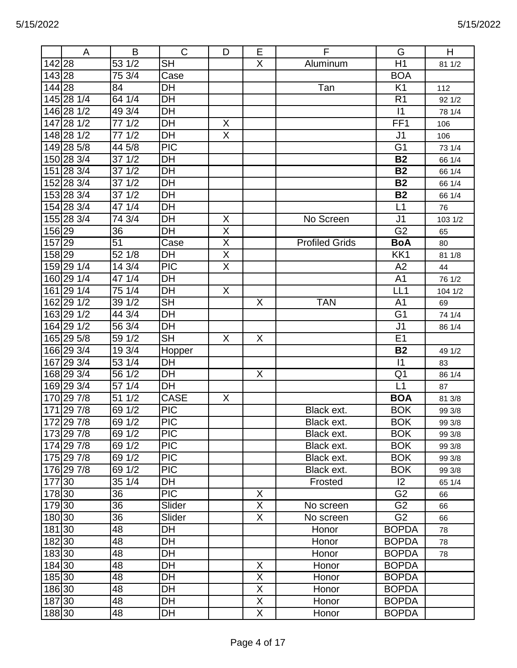|        | A          | B               | $\mathsf{C}$             | D                       | E              | F                     | G               | H       |
|--------|------------|-----------------|--------------------------|-------------------------|----------------|-----------------------|-----------------|---------|
| 142 28 |            | 53 1/2          | <b>SH</b>                |                         | X              | Aluminum              | H1              | 81 1/2  |
| 143 28 |            | 75 3/4          | Case                     |                         |                |                       | <b>BOA</b>      |         |
| 144 28 |            | 84              | DH                       |                         |                | Tan                   | K <sub>1</sub>  | 112     |
|        | 145 28 1/4 | 64 1/4          | DH                       |                         |                |                       | R <sub>1</sub>  | 92 1/2  |
|        | 146 28 1/2 | 49 3/4          | DH                       |                         |                |                       | $\vert$ 1       | 78 1/4  |
|        | 147 28 1/2 | 77 1/2          | DH                       | X                       |                |                       | FF <sub>1</sub> | 106     |
|        | 148 28 1/2 | 77 1/2          | <b>DH</b>                | $\overline{X}$          |                |                       | J <sub>1</sub>  | 106     |
|        | 149 28 5/8 | 44 5/8          | <b>PIC</b>               |                         |                |                       | G <sub>1</sub>  | 73 1/4  |
|        | 150 28 3/4 | 37 1/2          | <b>DH</b>                |                         |                |                       | <b>B2</b>       | 66 1/4  |
|        | 151 28 3/4 | 371/2           | DH                       |                         |                |                       | <b>B2</b>       | 66 1/4  |
|        | 152 28 3/4 | 37 1/2          | <b>DH</b>                |                         |                |                       | <b>B2</b>       | 66 1/4  |
|        | 153 28 3/4 | 37 1/2          | DH                       |                         |                |                       | <b>B2</b>       | 66 1/4  |
|        | 154 28 3/4 | 47 1/4          | <b>DH</b>                |                         |                |                       | L1              | 76      |
|        | 155 28 3/4 | 74 3/4          | DH                       | X                       |                | No Screen             | J <sub>1</sub>  | 103 1/2 |
| 156 29 |            | 36              | DH                       | X                       |                |                       | G <sub>2</sub>  | 65      |
| 157 29 |            | $\overline{51}$ | Case                     | $\overline{\mathsf{x}}$ |                | <b>Profiled Grids</b> | <b>BoA</b>      | 80      |
| 158 29 |            | 52 1/8          | DH                       | Χ                       |                |                       | KK1             | 81 1/8  |
|        | 159 29 1/4 | 14 3/4          | $\overline{PIC}$         | $\overline{\mathsf{X}}$ |                |                       | A2              | 44      |
|        | 160 29 1/4 | 47 1/4          | <b>DH</b>                |                         |                |                       | A <sub>1</sub>  | 76 1/2  |
|        | 161 29 1/4 | 75 1/4          | DH                       | X                       |                |                       | LL <sub>1</sub> | 104 1/2 |
|        | 162 29 1/2 | 39 1/2          | $\overline{\mathsf{SH}}$ |                         | X              | <b>TAN</b>            | A <sub>1</sub>  | 69      |
|        | 163 29 1/2 | 44 3/4          | <b>DH</b>                |                         |                |                       | G <sub>1</sub>  | 74 1/4  |
|        | 164 29 1/2 | 56 3/4          | DH                       |                         |                |                       | J <sub>1</sub>  | 86 1/4  |
|        | 165 29 5/8 | 59 1/2          | $\overline{\mathsf{SH}}$ | X                       | X              |                       | E <sub>1</sub>  |         |
|        | 166 29 3/4 | 19 3/4          | Hopper                   |                         |                |                       | <b>B2</b>       | 49 1/2  |
| 167    | 293/4      | 53 1/4          | DH                       |                         |                |                       | $\vert$ 1       | 83      |
|        | 168 29 3/4 | 56 1/2          | DH                       |                         | X              |                       | Q <sub>1</sub>  | 86 1/4  |
|        | 169 29 3/4 | 57 1/4          | <b>DH</b>                |                         |                |                       | L1              | 87      |
|        | 170 29 7/8 | 1/2<br>51       | CASE                     | X                       |                |                       | <b>BOA</b>      | 81 3/8  |
|        | 171 29 7/8 | 69 1/2          | <b>PIC</b>               |                         |                | Black ext.            | <b>BOK</b>      | 99 3/8  |
|        | 172 29 7/8 | 69 1/2          | $\overline{PIC}$         |                         |                | Black ext.            | <b>BOK</b>      | 99 3/8  |
|        | 173 29 7/8 | 69 1/2          | <b>PIC</b>               |                         |                | Black ext.            | <b>BOK</b>      | 99 3/8  |
|        | 174 29 7/8 | 69 1/2          | <b>PIC</b>               |                         |                | Black ext.            | <b>BOK</b>      | 99 3/8  |
|        | 175 29 7/8 | 69 1/2          | <b>PIC</b>               |                         |                | Black ext.            | <b>BOK</b>      | 99 3/8  |
|        | 176 29 7/8 | 69 1/2          | <b>PIC</b>               |                         |                | Black ext.            | <b>BOK</b>      | 99 3/8  |
| 177 30 |            | 35 1/4          | DH                       |                         |                | Frosted               | 2               | 65 1/4  |
| 178 30 |            | 36              | <b>PIC</b>               |                         | X              |                       | G <sub>2</sub>  | 66      |
| 179 30 |            | 36              | Slider                   |                         | X              | No screen             | G <sub>2</sub>  | 66      |
| 180 30 |            | 36              | Slider                   |                         | X              | No screen             | G2              | 66      |
| 181 30 |            | 48              | DH                       |                         |                | Honor                 | <b>BOPDA</b>    | 78      |
| 182 30 |            | 48              | DH                       |                         |                | Honor                 | <b>BOPDA</b>    | 78      |
| 183 30 |            | 48              | DH                       |                         |                | Honor                 | <b>BOPDA</b>    | 78      |
| 184 30 |            | 48              | DH                       |                         | X              | Honor                 | <b>BOPDA</b>    |         |
| 185 30 |            | 48              | DH                       |                         | X              | Honor                 | <b>BOPDA</b>    |         |
| 186 30 |            | 48              | <b>DH</b>                |                         | X              | Honor                 | <b>BOPDA</b>    |         |
| 187 30 |            | 48              | DH                       |                         | $\overline{X}$ | Honor                 | <b>BOPDA</b>    |         |
| 188 30 |            | 48              | DH                       |                         | X              | Honor                 | <b>BOPDA</b>    |         |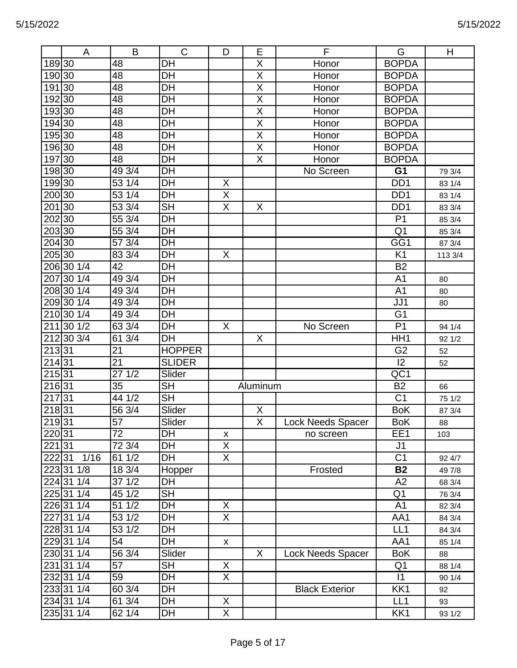|                    | A                       | B                | $\mathsf{C}$    | D  | E                       | F                     | G                | Н       |
|--------------------|-------------------------|------------------|-----------------|----|-------------------------|-----------------------|------------------|---------|
| 189 30             |                         | 48               | <b>DH</b>       |    | X                       | Honor                 | <b>BOPDA</b>     |         |
| 190 30             |                         | 48               | DH              |    | X                       | Honor                 | <b>BOPDA</b>     |         |
| 191 30             |                         | 48               | DH              |    | $\overline{\mathsf{X}}$ | Honor                 | <b>BOPDA</b>     |         |
| 19230              |                         | 48               | DH              |    | $\overline{\mathsf{X}}$ | Honor                 | <b>BOPDA</b>     |         |
| 19330              |                         | 48               | DH              |    | $\overline{\mathsf{X}}$ | Honor                 | <b>BOPDA</b>     |         |
| 194 30             |                         | 48               | DH              |    | X                       | Honor                 | <b>BOPDA</b>     |         |
| 195 30             |                         | 48               | DH              |    | $\overline{X}$          | Honor                 | <b>BOPDA</b>     |         |
| 196 30             |                         | 48               | DH              |    | $\overline{X}$          | Honor                 | <b>BOPDA</b>     |         |
| 197 30             |                         | 48               | DH              |    | X                       | Honor                 | <b>BOPDA</b>     |         |
| 198 30             |                         | 49 3/4           | DH              |    |                         | No Screen             | G <sub>1</sub>   | 79 3/4  |
| 199 30             |                         | 53 1/4           | <b>DH</b>       | X  |                         |                       | DD <sub>1</sub>  | 83 1/4  |
| 200 30             |                         | 53 1/4           | DH              | X  |                         |                       | DD <sub>1</sub>  | 83 1/4  |
| 201 30             |                         | 53 3/4           | <b>SH</b>       | X  | X                       |                       | D <sub>D</sub> 1 | 83 3/4  |
| 20230              |                         | 55 3/4           | DH              |    |                         |                       | P <sub>1</sub>   | 85 3/4  |
| 203 30             |                         | 55 3/4           | DH              |    |                         |                       | Q <sub>1</sub>   | 85 3/4  |
| 204 30             |                         | 57 3/4           | DH              |    |                         |                       | GG1              | 87 3/4  |
| 205 30             |                         | 83 3/4           | DH              | X  |                         |                       | K <sub>1</sub>   | 113 3/4 |
|                    | 206 30 1/4              | 42               | DH              |    |                         |                       | <b>B2</b>        |         |
| 207                | 30 1/4                  | 49 3/4           | <b>DH</b>       |    |                         |                       | A <sub>1</sub>   | 80      |
|                    | 208 30 1/4              | 49 3/4           | <b>DH</b>       |    |                         |                       | A <sub>1</sub>   | 80      |
|                    | 209 30 1/4              | 49 3/4           | $\overline{DH}$ |    |                         |                       | JJ1              | 80      |
|                    | 210 30 1/4              | 49 3/4           | <b>DH</b>       |    |                         |                       | G <sub>1</sub>   |         |
| 211                | $30 \frac{1}{2}$        | 63 3/4           | DH              | X  |                         | No Screen             | P <sub>1</sub>   | 94 1/4  |
|                    | 212 30 3/4              | 613/4            | DH              |    | X                       |                       | HH <sub>1</sub>  | 92 1/2  |
| 21331              |                         | 21               | <b>HOPPER</b>   |    |                         |                       | G <sub>2</sub>   | 52      |
| 214 31             |                         | 21               | <b>SLIDER</b>   |    |                         |                       | $ 2\rangle$      | 52      |
| $215\overline{31}$ |                         | $\frac{27}{1/2}$ | Slider          |    |                         |                       | QC1              |         |
| 21631              |                         | 35               | <b>SH</b>       |    | Aluminum                |                       | <b>B2</b>        | 66      |
| 217                | 31                      | 44 1/2           | <b>SH</b>       |    |                         |                       | C <sub>1</sub>   | 75 1/2  |
| $2\overline{18}31$ |                         | 56 3/4           | Slider          |    | X                       |                       | <b>BoK</b>       | 87 3/4  |
| 219 31             |                         | 57               | Slider          |    | Χ                       | Lock Needs Spacer     | <b>BoK</b>       | 88      |
| 220 31             |                         | 72               | DH              | X  |                         | no screen             | EE1              | 103     |
| 22131              |                         | 72 3/4           | DH              | X  |                         |                       | J <sub>1</sub>   |         |
| 22231              | 1/16                    | 61 1/2           | DH              | X. |                         |                       | C <sub>1</sub>   | 92 4/7  |
|                    | 223 31 1/8              | 18 3/4           | Hopper          |    |                         | Frosted               | <b>B2</b>        | 49 7/8  |
|                    | 224 31 1/4              | 37 1/2           | DH              |    |                         |                       | A2               | 68 3/4  |
|                    | 225 31 1/4              | 45 1/2           | <b>SH</b>       |    |                         |                       | Q <sub>1</sub>   | 76 3/4  |
|                    | $226 31 \overline{1/4}$ | 51 1/2           | DH              | X  |                         |                       | A <sub>1</sub>   | 82 3/4  |
|                    | 227 31 1/4              | 53 1/2           | DH              | X  |                         |                       | AA1              | 84 3/4  |
|                    | 228 31 1/4              | 53 1/2           | DH              |    |                         |                       | LL1              | 84 3/4  |
|                    | 229 31 1/4              | 54               | DH              | X. |                         |                       | AA1              | 85 1/4  |
|                    | 230 31 1/4              | 56 3/4           | Slider          |    | X                       | Lock Needs Spacer     | <b>BoK</b>       | 88      |
|                    | 231 31 1/4              | 57               | <b>SH</b>       | X  |                         |                       | Q <sub>1</sub>   | 88 1/4  |
|                    | 232 31 1/4              | 59               | DH              | X  |                         |                       | $\vert$ 1        | 90 1/4  |
|                    | 233 31 1/4              | 60 3/4           | DH              |    |                         | <b>Black Exterior</b> | KK1              | 92      |
|                    | 234 31 1/4              | 61 3/4           | DH              | X  |                         |                       | LL1              | 93      |
|                    | 235 31 1/4              | 62 1/4           | DH              | X  |                         |                       | KK1              | 93 1/2  |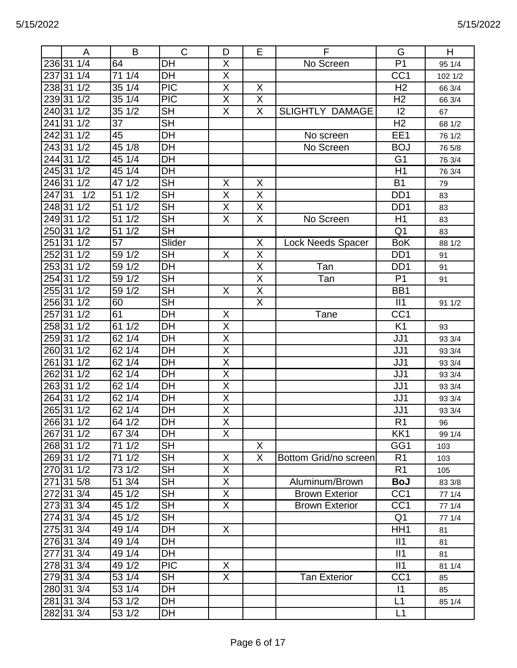|        | A          | B                  | $\mathsf C$              | D                       | E                       | F                        | G                | H       |
|--------|------------|--------------------|--------------------------|-------------------------|-------------------------|--------------------------|------------------|---------|
| 23631  | 1/4        | 64                 | DH                       | X                       |                         | No Screen                | $\overline{P1}$  | 95 1/4  |
| 237    | 31 1/4     | 71 1/4             | DH                       | X                       |                         |                          | CC <sub>1</sub>  | 102 1/2 |
|        | 238 31 1/2 | 35 1/4             | <b>PIC</b>               | $\overline{\mathsf{X}}$ | X                       |                          | H <sub>2</sub>   | 66 3/4  |
| 23931  | 1/2        | 35 1/4             | $\overline{PIC}$         | $\overline{X}$          | $\overline{\mathsf{X}}$ |                          | H <sub>2</sub>   | 66 3/4  |
| 240 31 | 1/2        | 35 1/2             | $\overline{\mathsf{SH}}$ | $\overline{X}$          | $\overline{\mathsf{X}}$ | <b>SLIGHTLY DAMAGE</b>   | 12               | 67      |
| 241    | 31<br>1/2  | 37                 | <b>SH</b>                |                         |                         |                          | H <sub>2</sub>   | 68 1/2  |
|        | 242 31 1/2 | 45                 | DH                       |                         |                         | No screen                | EE1              | 76 1/2  |
| 243 31 | 1/2        | 45 1/8             | DH                       |                         |                         | No Screen                | <b>BOJ</b>       | 76 5/8  |
|        | 244 31 1/2 | 45 1/4             | DH                       |                         |                         |                          | G <sub>1</sub>   | 76 3/4  |
|        | 245 31 1/2 | 451/4              | $\overline{D}$ H         |                         |                         |                          | H1               | 76 3/4  |
| 24631  | 1/2        | 47 1/2             | <b>SH</b>                | X                       | X                       |                          | <b>B1</b>        | 79      |
| 247    | 31<br>1/2  | 1/2<br>51          | $\overline{\mathsf{SH}}$ | X                       | X                       |                          | D <sub>D</sub>   | 83      |
| 248 31 | 1/2        | 1/2<br>51          | <b>SH</b>                | X                       | X                       |                          | D <sub>D</sub> 1 | 83      |
| 249 31 | 1/2        | 1/2<br>51          | <b>SH</b>                | X                       | $\overline{X}$          | No Screen                | H1               | 83      |
| 25031  | 1/2        | 51<br>1/2          | <b>SH</b>                |                         |                         |                          | Q <sub>1</sub>   | 83      |
| 251    | 31<br>1/2  | 57                 | Slider                   |                         | X                       | <b>Lock Needs Spacer</b> | <b>BoK</b>       | 88 1/2  |
|        | 252 31 1/2 | 59 1/2             | <b>SH</b>                | X                       | X                       |                          | DD <sub>1</sub>  | 91      |
| 25331  | 1/2        | 1/2<br>59          | DH                       |                         | $\overline{\mathsf{X}}$ | Tan                      | DD <sub>1</sub>  | 91      |
|        | 254 31 1/2 | 1/2<br>59          | <b>SH</b>                |                         | $\overline{X}$          | Tan                      | P <sub>1</sub>   | 91      |
|        | 255 31 1/2 | 59 1/2             | <b>SH</b>                | X                       | $\overline{X}$          |                          | BB1              |         |
|        | 256 31 1/2 | 60                 | $\overline{\mathsf{SH}}$ |                         | $\overline{\mathsf{X}}$ |                          | II1              | 91 1/2  |
| 257    | 31<br>1/2  | 61                 | DH                       | X                       |                         | Tane                     | CC <sub>1</sub>  |         |
|        | 258 31 1/2 | 61 1/2             | DH                       | $\overline{X}$          |                         |                          | K <sub>1</sub>   | 93      |
|        | 25931 1/2  | 621/4              | DH                       | $\overline{\mathsf{X}}$ |                         |                          | JJ1              | 93 3/4  |
|        | 26031 1/2  | 62 1/4             | DH                       | Χ                       |                         |                          | JJ1              | 93 3/4  |
| 261    | 31<br>1/2  | 62 1/4             | DH                       | $\overline{X}$          |                         |                          | JJ1              | 93 3/4  |
| 262    | 31 1/2     | 62 1/4             | DH                       | $\overline{X}$          |                         |                          | JJ1              | 93 3/4  |
| 26331  | 1/2        | 62 1/4             | DH                       | X                       |                         |                          | JJ1              | 93 3/4  |
| 26431  | 1/2        | 62 1/4             | DH                       | $\overline{X}$          |                         |                          | JJ1              | 93 3/4  |
| 26531  | 1/2        | 62 1/4             | DH                       | $\overline{\mathsf{X}}$ |                         |                          | JJ1              | 93 3/4  |
|        | 266 31 1/2 | 64 1/2             | DT                       | $\overline{X}$          |                         |                          | R <sub>1</sub>   | 96      |
|        | 267 31 1/2 | 67 3/4             | DH                       | X                       |                         |                          | KK1              | 99 1/4  |
|        | 268 31 1/2 | 71 1/2             | <b>SH</b>                |                         | X                       |                          | GG1              | 103     |
|        | 269 31 1/2 | 71 1/2             | <b>SH</b>                | X                       | X                       | Bottom Grid/no screen    | R <sub>1</sub>   | 103     |
|        | 270 31 1/2 | $\overline{7}31/2$ | <b>SH</b>                | $\overline{X}$          |                         |                          | R <sub>1</sub>   | 105     |
|        | 271 31 5/8 | 51 3/4             | <b>SH</b>                | X                       |                         | Aluminum/Brown           | <b>BoJ</b>       | 83 3/8  |
|        | 272 31 3/4 | 45 1/2             | <b>SH</b>                | X.                      |                         | <b>Brown Exterior</b>    | CC <sub>1</sub>  | 77 1/4  |
|        | 273 31 3/4 | $\frac{1}{45}$ 1/2 | <b>SH</b>                | X.                      |                         | <b>Brown Exterior</b>    | CC <sub>1</sub>  | 77 1/4  |
|        | 274 31 3/4 | 45 1/2             | <b>SH</b>                |                         |                         |                          | Q <sub>1</sub>   | 77 1/4  |
|        | 275 31 3/4 | 49 1/4             | DH                       | X                       |                         |                          | HH <sub>1</sub>  | 81      |
|        | 276 31 3/4 | 49 1/4             | DH                       |                         |                         |                          | II1              | 81      |
|        | 277 31 3/4 | 49 1/4             | DH                       |                         |                         |                          | II1              | 81      |
|        | 278 31 3/4 | 49 1/2             | <b>PIC</b>               | X                       |                         |                          | II1              | 81 1/4  |
|        | 279 31 3/4 | 53 1/4             | <b>SH</b>                | X.                      |                         | <b>Tan Exterior</b>      | CC <sub>1</sub>  | 85      |
|        | 280 31 3/4 | 53 1/4             | DH                       |                         |                         |                          | 1                | 85      |
|        | 281 31 3/4 | 53 1/2             | DH                       |                         |                         |                          | L1               | 85 1/4  |
|        | 282 31 3/4 | 53 1/2             | DH                       |                         |                         |                          | L1               |         |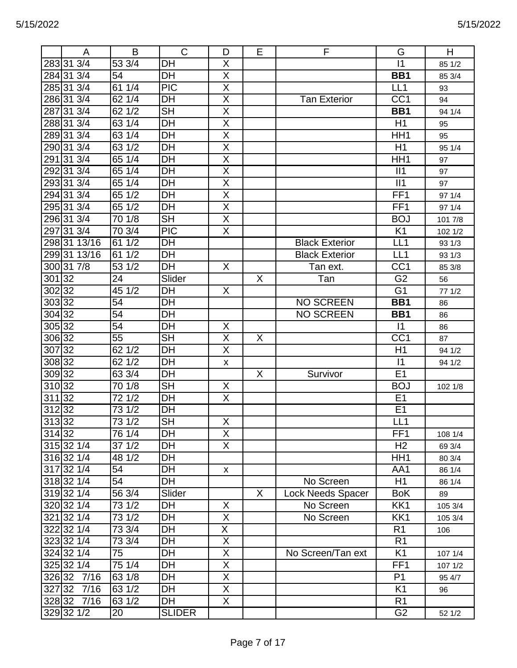| Α                  | B                  | $\mathsf{C}$  | D                       | Е | F                     | G                | Н       |
|--------------------|--------------------|---------------|-------------------------|---|-----------------------|------------------|---------|
| 283 31 3/4         | 53 3/4             | <b>DH</b>     | X                       |   |                       | $\vert$ 1        | 85 1/2  |
| 284 31 3/4         | 54                 | DH            | X                       |   |                       | BB1              | 85 3/4  |
| 285 31 3/4         | 61 1/4             | <b>PIC</b>    | $\overline{X}$          |   |                       | LL <sub>1</sub>  | 93      |
| 286 31 3/4         | 62 1/4             | DH            | $\overline{X}$          |   | <b>Tan Exterior</b>   | CC <sub>1</sub>  | 94      |
| 31 3/4<br>287      | 62 1/2             | <b>SH</b>     | $\overline{X}$          |   |                       | BB1              | 94 1/4  |
| 288 31 3/4         | 63 1/4             | DH            | X                       |   |                       | H1               | 95      |
| 289 31 3/4         | 63 1/4             | DH            | $\overline{X}$          |   |                       | HH1              | 95      |
| 290 31 3/4         | 63 1/2             | DH            | $\mathsf X$             |   |                       | H1               | 95 1/4  |
| 291 31 3/4         | 65 1/4             | <b>DH</b>     | X                       |   |                       | HH <sub>1</sub>  | 97      |
| 31 3/4<br>292      | 65 1/4             | DH            | $\overline{\mathsf{X}}$ |   |                       | II1              | 97      |
| 293 31 3/4         | 65 1/4             | DH            | $\overline{X}$          |   |                       | II1              | 97      |
| 294 31 3/4         | 65 1/2             | <b>DH</b>     | X                       |   |                       | FF1              | 97 1/4  |
| 295 31 3/4         | 65 1/2             | DH            | $\overline{X}$          |   |                       | FF <sub>1</sub>  | 97 1/4  |
| 296 31 3/4         | 70 1/8             | <b>SH</b>     | $\overline{X}$          |   |                       | <b>BOJ</b>       | 101 7/8 |
| 31 3/4<br>297      | 70 3/4             | <b>PIC</b>    | X                       |   |                       | K <sub>1</sub>   | 102 1/2 |
| 298 31 13/16       | 61 1/2             | DH            |                         |   | <b>Black Exterior</b> | LL <sub>1</sub>  | 93 1/3  |
| 299 31 13/16       | 61 1/2             | DH            |                         |   | <b>Black Exterior</b> | LL <sub>1</sub>  | 93 1/3  |
| 300 31 7/8         | 53 1/2             | DH            | X                       |   | Tan ext.              | CC <sub>1</sub>  | 85 3/8  |
| 301 32             | 24                 | Slider        |                         | X | Tan                   | G <sub>2</sub>   | 56      |
| 302 32             | 45 1/2             | <b>DH</b>     | X                       |   |                       | G <sub>1</sub>   | 77 1/2  |
| 303 32             | 54                 | DH            |                         |   | <b>NO SCREEN</b>      | BB1              | 86      |
| 304 32             | 54                 | DH            |                         |   | <b>NO SCREEN</b>      | BB1              | 86      |
| $305\overline{32}$ | 54                 | DH            | X                       |   |                       | $\vert$ 1        | 86      |
| 306 32             | 55                 | <b>SH</b>     | $\overline{X}$          | X |                       | $\overline{CC1}$ | 87      |
| 307 32             | 62 1/2             | DH            | X                       |   |                       | H1               | 94 1/2  |
| 308 32             | 62 1/2             | <b>DH</b>     | X                       |   |                       | $\vert$ 1        | 94 1/2  |
| 309 32             | 63 3/4             | DH            |                         | X | Survivor              | E <sub>1</sub>   |         |
| 310 32             | 70 1/8             | <b>SH</b>     | X                       |   |                       | <b>BOJ</b>       | 102 1/8 |
| 311 32             | 72 1/2             | <b>DH</b>     | X                       |   |                       | E <sub>1</sub>   |         |
| 32<br>312          | $\frac{1}{73}$ 1/2 | DH            |                         |   |                       | E <sub>1</sub>   |         |
| 313 32             | $73 \frac{1}{2}$   | <b>SH</b>     | X                       |   |                       | LL1              |         |
| 314 32             | 76 1/4             | DH            | X                       |   |                       | FF <sub>1</sub>  | 108 1/4 |
| 315 32 1/4         | 37 1/2             | DH            | X                       |   |                       | H <sub>2</sub>   | 69 3/4  |
| 316 32 1/4         | 48 1/2             | DH            |                         |   |                       | HH <sub>1</sub>  | 80 3/4  |
| 317 32 1/4         | 54                 | DH            | X                       |   |                       | AA1              | 86 1/4  |
| 318 32 1/4         | 54                 | DH            |                         |   | No Screen             | H1               | 86 1/4  |
| 319 32 1/4         | 56 3/4             | Slider        |                         | X | Lock Needs Spacer     | <b>BoK</b>       | 89      |
| 320 32 1/4         | 73 1/2             | DH            | X                       |   | No Screen             | KK1              | 105 3/4 |
| 321 32 1/4         | 73 1/2             | DH            | X                       |   | No Screen             | KK1              | 105 3/4 |
| 322 32 1/4         | 73 3/4             | <b>DH</b>     | $\overline{X}$          |   |                       | R <sub>1</sub>   | 106     |
| 323 32 1/4         | 73 3/4             | DH            | $\mathsf X$             |   |                       | R <sub>1</sub>   |         |
| 324 32 1/4         | 75                 | DH            | $\mathsf X$             |   | No Screen/Tan ext     | K <sub>1</sub>   | 107 1/4 |
| 325 32 1/4         | 751/4              | DH            | $\overline{X}$          |   |                       | FF <sub>1</sub>  | 107 1/2 |
| 7/16<br>326 32     | 63 1/8             | DH            | X                       |   |                       | P <sub>1</sub>   | 95 4/7  |
| 327 32 7/16        | 63 1/2             | DH            | X                       |   |                       | K <sub>1</sub>   | 96      |
| 328 32 7/16        | $\sqrt{63}$ 1/2    | <b>DH</b>     | $\overline{\mathsf{X}}$ |   |                       | R <sub>1</sub>   |         |
| 329 32 1/2         | 20                 | <b>SLIDER</b> |                         |   |                       | G <sub>2</sub>   | 52 1/2  |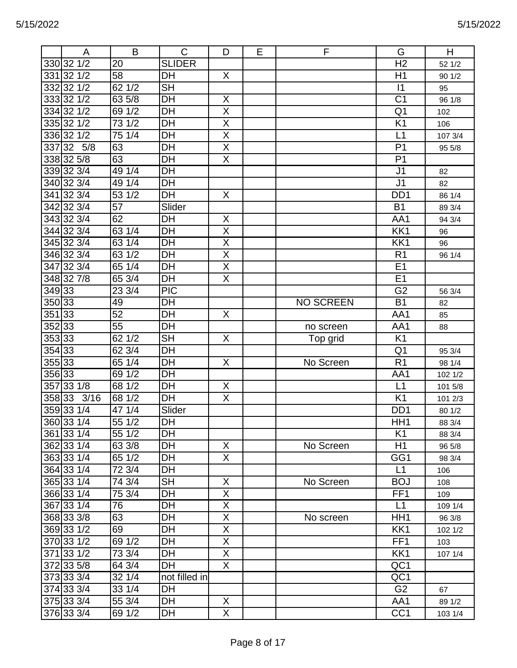|        | A          | B      | $\mathsf{C}$             | D                       | E. | F                | G                | H       |
|--------|------------|--------|--------------------------|-------------------------|----|------------------|------------------|---------|
|        | 330 32 1/2 | 20     | <b>SLIDER</b>            |                         |    |                  | H <sub>2</sub>   | 52 1/2  |
|        | 331 32 1/2 | 58     | DH                       | X                       |    |                  | H1               | 90 1/2  |
|        | 332 32 1/2 | 62 1/2 | $\overline{\mathsf{SH}}$ |                         |    |                  | 1                | 95      |
|        | 333 32 1/2 | 635/8  | <b>DH</b>                | $\mathsf X$             |    |                  | C <sub>1</sub>   | 96 1/8  |
|        | 334 32 1/2 | 69 1/2 | DH                       | $\overline{X}$          |    |                  | Q <sub>1</sub>   | 102     |
|        | 335 32 1/2 | 73 1/2 | <b>DH</b>                | $\overline{X}$          |    |                  | K <sub>1</sub>   | 106     |
|        | 336 32 1/2 | 751/4  | DH                       | $\overline{\mathsf{X}}$ |    |                  | L1               | 107 3/4 |
|        | 337 32 5/8 | 63     | DH                       | $\overline{X}$          |    |                  | P <sub>1</sub>   | 95 5/8  |
|        | 338 32 5/8 | 63     | $\overline{DH}$          | $\overline{\mathsf{X}}$ |    |                  | P <sub>1</sub>   |         |
|        | 339 32 3/4 | 49 1/4 | DH                       |                         |    |                  | J <sub>1</sub>   | 82      |
|        | 340 32 3/4 | 49 1/4 | DH                       |                         |    |                  | J <sub>1</sub>   | 82      |
|        | 341 32 3/4 | 53 1/2 | DH                       | X                       |    |                  | D <sub>D</sub> 1 | 86 1/4  |
|        | 342 32 3/4 | 57     | Slider                   |                         |    |                  | <b>B1</b>        | 89 3/4  |
|        | 343 32 3/4 | 62     | DH                       | X                       |    |                  | AA1              | 94 3/4  |
|        | 344 32 3/4 | 63 1/4 | DH                       | $\overline{\mathsf{X}}$ |    |                  | KK1              | 96      |
|        | 345 32 3/4 | 63 1/4 | DH                       | $\overline{\mathsf{X}}$ |    |                  | KK1              | 96      |
|        | 346 32 3/4 | 63 1/2 | DH                       | $\overline{X}$          |    |                  | R <sub>1</sub>   | 96 1/4  |
|        | 347 32 3/4 | 65 1/4 | DH                       | $\overline{X}$          |    |                  | E1               |         |
|        | 348327/8   | 65 3/4 | DH                       | X                       |    |                  | E1               |         |
| 349 33 |            | 23 3/4 | <b>PIC</b>               |                         |    |                  | G <sub>2</sub>   | 56 3/4  |
| 350 33 |            | 49     | DH                       |                         |    | <b>NO SCREEN</b> | <b>B1</b>        | 82      |
| 35133  |            | 52     | DH                       | X                       |    |                  | AA1              | 85      |
| 352 33 |            | 55     | DH                       |                         |    | no screen        | AA1              | 88      |
| 35333  |            | 62 1/2 | <b>SH</b>                | X                       |    | Top grid         | K <sub>1</sub>   |         |
| 354 33 |            | 62 3/4 | DH                       |                         |    |                  | Q <sub>1</sub>   | 95 3/4  |
| 35533  |            | 651/4  | DH                       | X                       |    | No Screen        | R <sub>1</sub>   | 98 1/4  |
| 356 33 |            | 69 1/2 | DH                       |                         |    |                  | AA1              | 102 1/2 |
| 357    | 33 1/8     | 68 1/2 | DH                       | X                       |    |                  | L1               | 101 5/8 |
| 35833  | 3/16       | 68 1/2 | DH                       | X                       |    |                  | K <sub>1</sub>   | 101 2/3 |
|        | 359 33 1/4 | 47 1/4 | Slider                   |                         |    |                  | D <sub>D</sub> 1 | 80 1/2  |
|        | 360 33 1/4 | 551/2  | $\overline{DH}$          |                         |    |                  | HH <sub>1</sub>  | 88 3/4  |
|        | 361 33 1/4 | 55 1/2 | DH                       |                         |    |                  | K <sub>1</sub>   | 88 3/4  |
|        | 362 33 1/4 | 63 3/8 | DH                       | X                       |    | No Screen        | H1               | 96 5/8  |
|        | 363 33 1/4 | 65 1/2 | DH                       | $\overline{X}$          |    |                  | GG1              | 98 3/4  |
|        | 364 33 1/4 | 72 3/4 | DH                       |                         |    |                  | L1               | 106     |
|        | 365 33 1/4 | 74 3/4 | <b>SH</b>                | X                       |    | No Screen        | <b>BOJ</b>       | 108     |
|        | 366 33 1/4 | 75 3/4 | DH                       | $\overline{X}$          |    |                  | FF <sub>1</sub>  | 109     |
|        | 367 33 1/4 | 76     | DH                       | X                       |    |                  | L1               | 109 1/4 |
|        | 368 33 3/8 | 63     | DH                       | X                       |    | No screen        | HH1              | 96 3/8  |
|        | 369 33 1/2 | 69     | DH                       | X                       |    |                  | KK1              | 102 1/2 |
|        | 370 33 1/2 | 69 1/2 | DH                       | X                       |    |                  | FF <sub>1</sub>  | 103     |
|        | 371 33 1/2 | 73 3/4 | DH                       | X                       |    |                  | KK1              | 107 1/4 |
|        | 372 33 5/8 | 64 3/4 | DH                       | X                       |    |                  | QC1              |         |
|        | 373 33 3/4 | 32 1/4 | not filled in            |                         |    |                  | QC1              |         |
|        | 374 33 3/4 | 33 1/4 | DH                       |                         |    |                  | G <sub>2</sub>   | 67      |
|        | 375 33 3/4 | 55 3/4 | DH                       | X                       |    |                  | AA1              | 89 1/2  |
|        | 376 33 3/4 | 69 1/2 | DH                       | Χ                       |    |                  | CC <sub>1</sub>  | 103 1/4 |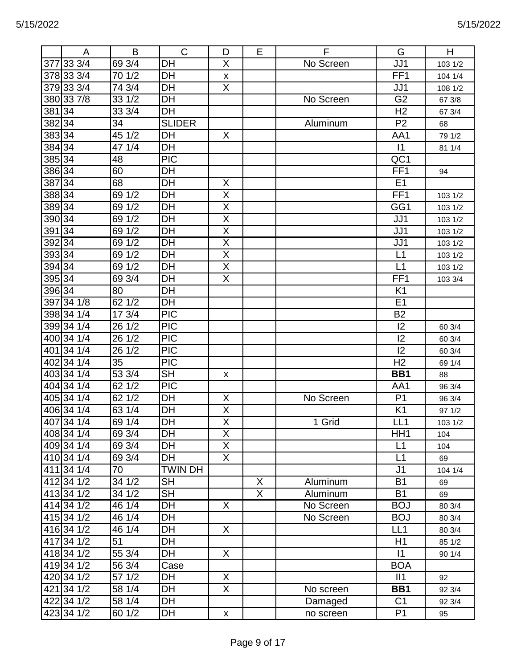|                | A              | B      | $\mathsf{C}$     | D                            | E              | F         | G                | H            |
|----------------|----------------|--------|------------------|------------------------------|----------------|-----------|------------------|--------------|
|                | 377 33 3/4     | 693/4  | DH               | X                            |                | No Screen | JJ1              | 103 1/2      |
|                | 378 33 3/4     | 70 1/2 | <b>DH</b>        |                              |                |           | FF <sub>1</sub>  | 104 1/4      |
|                | 379 33 3/4     | 74 3/4 | DH               | X<br>X                       |                |           | JJ1              | 108 1/2      |
|                | 380 33 7/8     | 33 1/2 | DH               |                              |                | No Screen | G <sub>2</sub>   | 67 3/8       |
| 381 34         |                | 33 3/4 | DH               |                              |                |           | H <sub>2</sub>   | 67 3/4       |
| 38234          |                | 34     | <b>SLIDER</b>    |                              |                | Aluminum  | P <sub>2</sub>   |              |
| 383334         |                | 45 1/2 | DH               | X                            |                |           | AA1              | 68<br>79 1/2 |
| 38434          |                | 47 1/4 | DH               |                              |                |           | $\vert$ 1        | 81 1/4       |
| 38534          |                | 48     | $\overline{PIC}$ |                              |                |           | $\overline{OC1}$ |              |
| 38634          |                | 60     | DH               |                              |                |           | FF <sub>1</sub>  |              |
| 38734          |                | 68     | DH               | X                            |                |           | E <sub>1</sub>   | 94           |
| 38834          |                | 69 1/2 | DH               | $\overline{X}$               |                |           | FF <sub>1</sub>  |              |
|                |                |        |                  |                              |                |           |                  | 103 1/2      |
| 38934<br>39034 |                | 69 1/2 | <b>DH</b><br>DH  | X                            |                |           | GG1              | 103 1/2      |
|                |                | 69 1/2 |                  | X                            |                |           | JJ1              | 103 1/2      |
| 391 34         |                | 69 1/2 | DH               | X<br>$\overline{\mathsf{X}}$ |                |           | JJ1              | 103 1/2      |
| 392 34         |                | 69 1/2 | DH               |                              |                |           | JJ1              | 103 1/2      |
| 39334          |                | 69 1/2 | DH               | X                            |                |           | L1               | 103 1/2      |
| 39434          |                | 69 1/2 | DH               | $\overline{\mathsf{X}}$      |                |           | L1               | 103 1/2      |
| 39534          |                | 69 3/4 | DH               | X                            |                |           | FF <sub>1</sub>  | 103 3/4      |
| 39634          |                | 80     | DH               |                              |                |           | K <sub>1</sub>   |              |
|                | 397 34 1/8     | 62 1/2 | DH               |                              |                |           | E1               |              |
|                | 398 34 1/4     | 17 3/4 | <b>PIC</b>       |                              |                |           | <b>B2</b>        |              |
|                | 399 34 1/4     | 26 1/2 | PIC              |                              |                |           | 12               | 60 3/4       |
|                | 400 34 1/4     | 26 1/2 | <b>PIC</b>       |                              |                |           | 12               | 60 3/4       |
|                | 40134 1/4      | 26 1/2 | $\overline{PIC}$ |                              |                |           | 12               | 60 3/4       |
|                | 402 34 1/4     | 35     | <b>PIC</b>       |                              |                |           | H <sub>2</sub>   | 69 1/4       |
|                | 403 34 1/4     | 53 3/4 | <b>SH</b>        | X                            |                |           | BB1              | 88           |
|                | 404 34 1/4     | 62 1/2 | <b>PIC</b>       |                              |                |           | AA1              | 96 3/4       |
|                | 405 34 1/4     | 62 1/2 | DH               | X                            |                | No Screen | P <sub>1</sub>   | 96 3/4       |
|                | 406 34 1/4     | 63 1/4 | DH               | X                            |                |           | K <sub>1</sub>   | 97 1/2       |
|                | 407 34 1/4     | 69 1/4 | $\overline{DH}$  | $\overline{X}$               |                | 1 Grid    | LL1              | 103 1/2      |
|                | 408 34 1/4     | 69 3/4 | <b>DH</b>        | X                            |                |           | HH <sub>1</sub>  | 104          |
|                | 409 34 1/4     | 693/4  | DH               | X                            |                |           | L1               | 104          |
|                | 410 34 1/4     | 69 3/4 | <b>DH</b>        | $\overline{X}$               |                |           | L1               | 69           |
|                | 411 34 1/4     | 70     | <b>TWIN DH</b>   |                              |                |           | J <sub>1</sub>   | 104 1/4      |
|                | $412$ 34 $1/2$ | 34 1/2 | <b>SH</b>        |                              | X              | Aluminum  | <b>B1</b>        | 69           |
|                | 413 34 1/2     | 34 1/2 | <b>SH</b>        |                              | $\overline{X}$ | Aluminum  | <b>B1</b>        | 69           |
|                | 414 34 1/2     | 46 1/4 | <b>DH</b>        | X                            |                | No Screen | <b>BOJ</b>       | 80 3/4       |
|                | 415 34 1/2     | 46 1/4 | DH               |                              |                | No Screen | <b>BOJ</b>       | 80 3/4       |
|                | 416 34 1/2     | 46 1/4 | DH               | X                            |                |           | LL1              | 80 3/4       |
|                | 417 34 1/2     | 51     | DH               |                              |                |           | H1               | 85 1/2       |
|                | 418 34 1/2     | 55 3/4 | DH               | X                            |                |           | $\vert$ 1        | 90 1/4       |
|                | 419 34 1/2     | 56 3/4 | Case             |                              |                |           | <b>BOA</b>       |              |
|                | 420 34 1/2     | 57 1/2 | DH               | X                            |                |           | II1              | 92           |
|                | 421 34 1/2     | 58 1/4 | <b>DH</b>        | X.                           |                | No screen | BB1              | 92 3/4       |
|                | 422 34 1/2     | 58 1/4 | <b>DH</b>        |                              |                | Damaged   | C <sub>1</sub>   | 92 3/4       |
|                | 423 34 1/2     | 60 1/2 | DH               | $\mathsf{X}^-$               |                | no screen | P <sub>1</sub>   | 95           |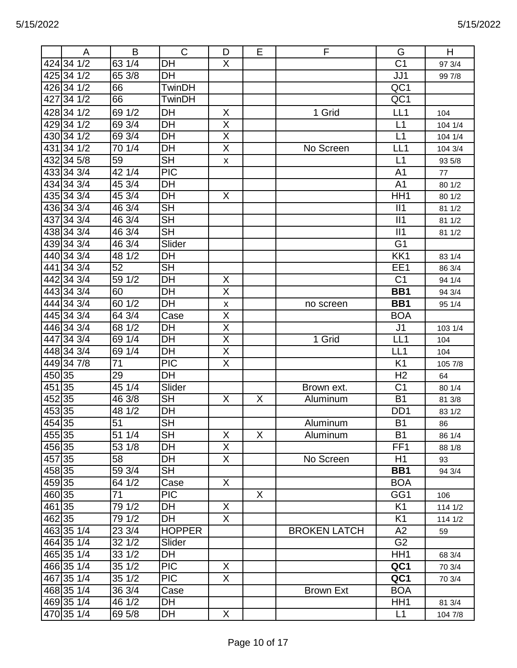|        | A               | B                          | $\mathsf{C}$             | D                       | Е | F                   | G               | H       |
|--------|-----------------|----------------------------|--------------------------|-------------------------|---|---------------------|-----------------|---------|
|        | 424 34 1/2      | 63 1/4                     | DH                       | X                       |   |                     | $\overline{C1}$ | 97 3/4  |
|        | 425 34 1/2      | 65 3/8                     | DH                       |                         |   |                     | JJ1             | 99 7/8  |
|        | 426 34 1/2      | 66                         | <b>TwinDH</b>            |                         |   |                     | QC1             |         |
|        | 427 34 1/2      | 66                         | TwinDH                   |                         |   |                     | QC1             |         |
|        | 428 34 1/2      | 69 1/2                     | DH                       | X                       |   | 1 Grid              | LL1             | 104     |
|        | 429 34 1/2      | 69 3/4                     | DH                       | $\overline{\mathsf{X}}$ |   |                     | L1              | 104 1/4 |
|        | 430 34 1/2      | 69 3/4                     | <b>DH</b>                | X                       |   |                     | L1              | 104 1/4 |
|        | 43134 1/2       | 70 1/4                     | DH                       | X                       |   | No Screen           | LL <sub>1</sub> | 104 3/4 |
|        | 432 34 5/8      | 59                         | <b>SH</b>                | X                       |   |                     | L1              | 93 5/8  |
|        | 433 34 3/4      | 42 1/4                     | <b>PIC</b>               |                         |   |                     | A <sub>1</sub>  | 77      |
|        | 434 34 3/4      | 45 3/4                     | DH                       |                         |   |                     | A <sub>1</sub>  | 80 1/2  |
|        | 435 34 3/4      | 45 3/4                     | <b>DH</b>                | X                       |   |                     | HH1             | 80 1/2  |
|        | 436 34 3/4      | 46 3/4                     | <b>SH</b>                |                         |   |                     | II1             | 81 1/2  |
|        | 437 34 3/4      | 46 3/4                     | <b>SH</b>                |                         |   |                     | II1             | 81 1/2  |
|        | 438 34 3/4      | 46 3/4                     | <b>SH</b>                |                         |   |                     | II1             | 81 1/2  |
|        | 439343/4        | 46 3/4                     | Slider                   |                         |   |                     | G <sub>1</sub>  |         |
|        | 440 34 3/4      | 48 1/2                     | DH                       |                         |   |                     | KK1             | 83 1/4  |
|        | 441 34 3/4      | 52                         | <b>SH</b>                |                         |   |                     | EE1             | 86 3/4  |
|        | 442 34 3/4      | 59 1/2                     | DH                       | X                       |   |                     | C <sub>1</sub>  | 94 1/4  |
|        | 443 34 3/4      | 60                         | DH                       | X                       |   |                     | BB1             | 94 3/4  |
|        | 444 34 3/4      | 60 1/2                     | DH                       | X                       |   | no screen           | BB1             | 95 1/4  |
|        | 445 34 3/4      | 64 3/4                     | Case                     | X                       |   |                     | <b>BOA</b>      |         |
|        | 446 34 3/4      | 68 1/2                     | DH                       | X                       |   |                     | J <sub>1</sub>  | 103 1/4 |
|        | 447 34 3/4      | 69 1/4                     | DH                       | $\overline{X}$          |   | 1 Grid              | LL <sub>1</sub> | 104     |
|        | 448 34 3/4      | 69 1/4                     | DH                       | $\overline{X}$          |   |                     | LL <sub>1</sub> | 104     |
|        | 449347/8        | 71                         | <b>PIC</b>               | X                       |   |                     | K <sub>1</sub>  | 105 7/8 |
| 45035  |                 | 29                         | DH                       |                         |   |                     | H <sub>2</sub>  | 64      |
| 451    | $\overline{35}$ | 45 1/4                     | Slider                   |                         |   | Brown ext.          | C <sub>1</sub>  | 80 1/4  |
| 45235  |                 | 46 3/8                     | <b>SH</b>                | X                       | X | Aluminum            | <b>B1</b>       | 81 3/8  |
| 45335  |                 | 48 1/2                     | <b>DH</b>                |                         |   |                     | DD <sub>1</sub> | 83 1/2  |
| 454 35 |                 | 51                         | $\overline{\mathsf{SH}}$ |                         |   | Aluminum            | $\overline{B1}$ | 86      |
| 455 35 |                 | 51 1/4                     | <b>SH</b>                | X                       | X | Aluminum            | <b>B1</b>       | 86 1/4  |
| 456 35 |                 | 53 1/8                     | DH                       | X.                      |   |                     | FF <sub>1</sub> | 88 1/8  |
| 457 35 |                 | 58                         | DH                       | X.                      |   | No Screen           | H1              | 93      |
| 458 35 |                 | 59 3/4                     | <b>SH</b>                |                         |   |                     | BB1             | 94 3/4  |
| 45935  |                 | 64 1/2                     | Case                     | X                       |   |                     | <b>BOA</b>      |         |
| 460 35 |                 | 71                         | <b>PIC</b>               |                         | X |                     | GG1             | 106     |
| 461 35 |                 | 79 1/2                     | DH                       | X                       |   |                     | K <sub>1</sub>  | 114 1/2 |
| 462 35 |                 | 79 1/2                     | <b>DH</b>                | X.                      |   |                     | K <sub>1</sub>  | 114 1/2 |
|        | 463 35 1/4      | 23 3/4                     | <b>HOPPER</b>            |                         |   | <b>BROKEN LATCH</b> | A2              | 59      |
|        | 464 35 1/4      | 32 1/2                     | Slider                   |                         |   |                     | G <sub>2</sub>  |         |
|        | 465 35 1/4      | 33 1/2                     | DH                       |                         |   |                     | HH <sub>1</sub> | 68 3/4  |
|        | 466 35 1/4      | 351/2                      | <b>PIC</b>               | X                       |   |                     | QC1             | 70 3/4  |
|        | 467 35 1/4      | 35 1/2                     | <b>PIC</b>               | $\mathsf{X}$            |   |                     | QC1             | 70 3/4  |
|        | 468 35 1/4      | $\overline{3}6\frac{3}{4}$ | Case                     |                         |   | <b>Brown Ext</b>    | <b>BOA</b>      |         |
|        | 469 35 1/4      | 46 1/2                     | DH                       |                         |   |                     | HH <sub>1</sub> | 81 3/4  |
|        | 470 35 1/4      | 69 5/8                     | DH                       | X                       |   |                     | L1              | 104 7/8 |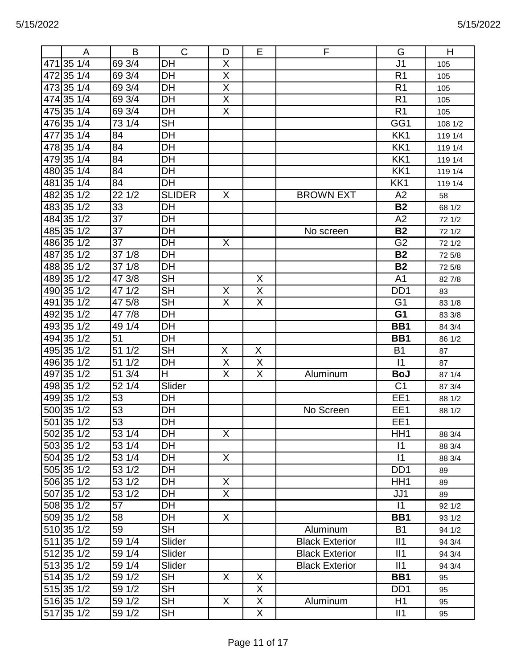|     | Α          | B      | $\mathsf{C}$    | D                       | E | F                     | G                | Н       |
|-----|------------|--------|-----------------|-------------------------|---|-----------------------|------------------|---------|
| 471 | 35 1/4     | 69 3/4 | DH              | X                       |   |                       | J <sub>1</sub>   | 105     |
| 472 | 35 1/4     | 69 3/4 | DH              | $\overline{\sf x}$      |   |                       | R <sub>1</sub>   | 105     |
| 473 | 35 1/4     | 69 3/4 | DH              | X                       |   |                       | R <sub>1</sub>   | 105     |
|     | 474 35 1/4 | 69 3/4 | DH              | Χ                       |   |                       | R <sub>1</sub>   | 105     |
|     | 475 35 1/4 | 69 3/4 | DH              | $\overline{\mathsf{X}}$ |   |                       | R <sub>1</sub>   | 105     |
|     | 476 35 1/4 | 73 1/4 | <b>SH</b>       |                         |   |                       | GG1              | 108 1/2 |
| 477 | 35 1/4     | 84     | DH              |                         |   |                       | KK1              | 119 1/4 |
|     | 478 35 1/4 | 84     | DH              |                         |   |                       | KK1              | 119 1/4 |
|     | 479 35 1/4 | 84     | DH              |                         |   |                       | KK1              | 119 1/4 |
|     | 480 35 1/4 | 84     | DH              |                         |   |                       | KK1              | 119 1/4 |
| 481 | 35 1/4     | 84     | DH              |                         |   |                       | KK1              | 119 1/4 |
| 482 | 35 1/2     | 221/2  | <b>SLIDER</b>   | X                       |   | <b>BROWN EXT</b>      | A2               | 58      |
|     | 483351/2   | 33     | DH              |                         |   |                       | <b>B2</b>        | 68 1/2  |
|     | 484 35 1/2 | 37     | DH              |                         |   |                       | A2               | 72 1/2  |
|     | 485 35 1/2 | 37     | DH              |                         |   | No screen             | <b>B2</b>        | 72 1/2  |
|     | 486 35 1/2 | 37     | DH              | X                       |   |                       | G <sub>2</sub>   | 72 1/2  |
| 487 | 35 1/2     | 37 1/8 | DH              |                         |   |                       | <b>B2</b>        | 72 5/8  |
|     | 488 35 1/2 | 37 1/8 | DH              |                         |   |                       | <b>B2</b>        | 72 5/8  |
|     | 489 35 1/2 | 47 3/8 | <b>SH</b>       |                         | X |                       | A <sub>1</sub>   | 82 7/8  |
|     | 490 35 1/2 | 47 1/2 | <b>SH</b>       | Χ                       | Χ |                       | D <sub>D</sub> 1 | 83      |
| 491 | 35 1/2     | 47 5/8 | <b>SH</b>       | $\sf X$                 | X |                       | G <sub>1</sub>   | 83 1/8  |
| 492 | 35 1/2     | 47 7/8 | DH              |                         |   |                       | G <sub>1</sub>   | 83 3/8  |
|     | 493 35 1/2 | 49 1/4 | DH              |                         |   |                       | BB1              | 84 3/4  |
|     | 494 35 1/2 | 51     | DH              |                         |   |                       | BB1              | 86 1/2  |
|     | 495 35 1/2 | 51 1/2 | <b>SH</b>       | X                       | X |                       | B <sub>1</sub>   | 87      |
|     | 496 35 1/2 | 51 1/2 | DH              | X                       | X |                       | $\vert$ 1        | 87      |
| 497 | 35 1/2     | 51 3/4 | H               | $\overline{X}$          | X | Aluminum              | <b>BoJ</b>       | 87 1/4  |
|     | 498 35 1/2 | 52 1/4 | Slider          |                         |   |                       | C <sub>1</sub>   | 87 3/4  |
|     | 499 35 1/2 | 53     | DH              |                         |   |                       | EE1              | 88 1/2  |
|     | 500 35 1/2 | 53     | DH              |                         |   | No Screen             | EE1              | 88 1/2  |
|     | 501 35 1/2 | 53     | $\overline{DH}$ |                         |   |                       | EE1              |         |
|     | 502 35 1/2 | 53 1/4 | DH              | X                       |   |                       | HH <sub>1</sub>  | 88 3/4  |
|     | 503 35 1/2 | 53 1/4 | DH              |                         |   |                       | $\vert$ 1        | 88 3/4  |
|     | 504 35 1/2 | 53 1/4 | DH              | X.                      |   |                       | $\vert$ 1        | 88 3/4  |
|     | 505 35 1/2 | 53 1/2 | DH              |                         |   |                       | D <sub>D</sub> 1 | 89      |
|     | 506 35 1/2 | 53 1/2 | DH              | X                       |   |                       | HH <sub>1</sub>  | 89      |
|     | 507 35 1/2 | 53 1/2 | DH              | $\overline{X}$          |   |                       | JJ1              | 89      |
|     | 508 35 1/2 | 57     | DH              |                         |   |                       | $\vert$ 1        | 92 1/2  |
|     | 509 35 1/2 | 58     | DH              | X.                      |   |                       | BB1              | 93 1/2  |
|     | 510 35 1/2 | 59     | <b>SH</b>       |                         |   | Aluminum              | <b>B1</b>        | 94 1/2  |
|     | 511 35 1/2 | 59 1/4 | Slider          |                         |   | <b>Black Exterior</b> | II1              | 94 3/4  |
|     | 512 35 1/2 | 59 1/4 | Slider          |                         |   | <b>Black Exterior</b> | II1              | 94 3/4  |
|     | 513 35 1/2 | 59 1/4 | Slider          |                         |   | <b>Black Exterior</b> | II1              | 94 3/4  |
|     | 514 35 1/2 | 59 1/2 | <b>SH</b>       | X                       | X |                       | BB1              | 95      |
|     | 515 35 1/2 | 59 1/2 | <b>SH</b>       |                         | X |                       | D <sub>D</sub> 1 | 95      |
|     | 516 35 1/2 | 59 1/2 | <b>SH</b>       | X                       | X | Aluminum              | H1               | 95      |
|     | 517 35 1/2 | 59 1/2 | SH              |                         | X |                       | II1              | 95      |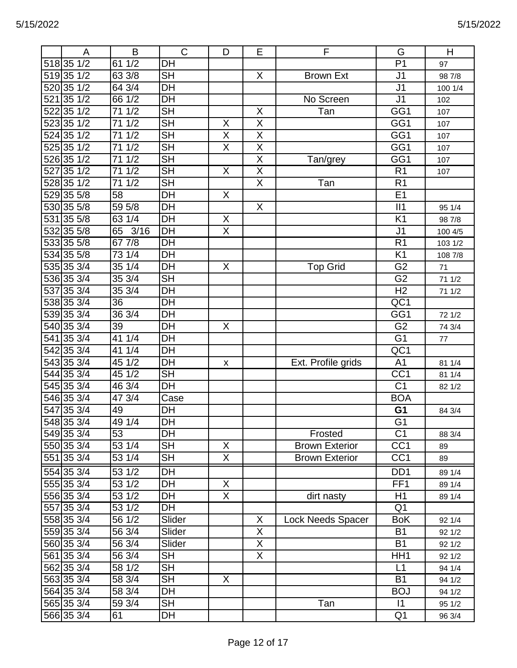|     | A                | B                  | $\mathsf C$               | D                       | Е                       | F                     | G               | H       |
|-----|------------------|--------------------|---------------------------|-------------------------|-------------------------|-----------------------|-----------------|---------|
|     | 518 35 1/2       | 611/2              | DH                        |                         |                         |                       | P <sub>1</sub>  | 97      |
|     | 519 35 1/2       | 63 3/8             | <b>SH</b>                 |                         | X                       | <b>Brown Ext</b>      | J <sub>1</sub>  | 98 7/8  |
|     | 520 35 1/2       | 64 3/4             | DH                        |                         |                         |                       | J <sub>1</sub>  | 100 1/4 |
| 521 | $35 \frac{1}{2}$ | 661/2              | $\overline{DH}$           |                         |                         | No Screen             | $\overline{J1}$ | 102     |
| 522 | 351/2            | 1/2<br>71          | <b>SH</b>                 |                         | X                       | Tan                   | GG1             | 107     |
|     | 523 35 1/2       | 1/2<br>71          | $\overline{\mathsf{SH}}$  | X                       | $\overline{X}$          |                       | GG1             | 107     |
|     | 524 35 1/2       | 1/2<br>71          | <b>SH</b>                 | $\overline{\mathsf{X}}$ | $\overline{X}$          |                       | GG1             | 107     |
|     | 525 35 1/2       | 1/2<br>71          | $\overline{\mathsf{SH}}$  | $\overline{X}$          | $\overline{\mathsf{X}}$ |                       | GG1             | 107     |
|     | 526 35 1/2       | 1/2<br>71          | $\overline{\mathsf{SH}}$  |                         | $\overline{X}$          | Tan/grey              | GG1             | 107     |
| 527 | 351/2            | 1/2<br>71          | $\overline{\mathsf{SH}}$  | $\overline{X}$          | $\overline{\mathsf{X}}$ |                       | R <sub>1</sub>  | 107     |
|     | 528 35 1/2       | 1/2<br>71          | <b>SH</b>                 |                         | $\overline{X}$          | Tan                   | R <sub>1</sub>  |         |
|     | 529 35 5/8       | 58                 | DH                        | $\overline{X}$          |                         |                       | E1              |         |
|     | 530 35 5/8       | 59 5/8             | DH                        |                         | X                       |                       | II1             | 95 1/4  |
|     | 531 35 5/8       | 63<br>1/4          | DH                        | X                       |                         |                       | K <sub>1</sub>  | 98 7/8  |
| 532 | 35 5/8           | 65<br>3/16         | <b>DH</b>                 | $\overline{\mathsf{X}}$ |                         |                       | J <sub>1</sub>  | 100 4/5 |
|     | 533 35 5/8       | 677/8              | DH                        |                         |                         |                       | R <sub>1</sub>  | 103 1/2 |
|     | 534 35 5/8       | 731/4              | DH                        |                         |                         |                       | K <sub>1</sub>  | 108 7/8 |
|     | 535 35 3/4       | 351/4              | DH                        | X                       |                         | <b>Top Grid</b>       | G <sub>2</sub>  | 71      |
|     | 536 35 3/4       | 353/4              | $\overline{\mathsf{SH}}$  |                         |                         |                       | G <sub>2</sub>  | 71 1/2  |
|     | 537 35 3/4       | 353/4              | DH                        |                         |                         |                       | $\overline{H2}$ | 71 1/2  |
|     | 538 35 3/4       | 36                 | $\overline{DH}$           |                         |                         |                       | QC1             |         |
|     | 539 35 3/4       | 36 3/4             | DH                        |                         |                         |                       | GG1             | 72 1/2  |
|     | 540 35 3/4       | 39                 | DH                        | X                       |                         |                       | G <sub>2</sub>  | 74 3/4  |
|     | 541 35 3/4       | 411/4              | DH                        |                         |                         |                       | $\overline{G1}$ | 77      |
|     | 542 35 3/4       | 41 1/4             | DH                        |                         |                         |                       | QC1             |         |
|     | 543 35 3/4       | 451/2              | $\overline{DH}$           |                         |                         |                       | A <sub>1</sub>  |         |
|     |                  |                    |                           | X                       |                         | Ext. Profile grids    |                 | 81 1/4  |
|     | 544 35 3/4       | 451/2              | <b>SH</b>                 |                         |                         |                       | CC <sub>1</sub> | 81 1/4  |
|     | 545 35 3/4       | 46 3/4             | DH                        |                         |                         |                       | C <sub>1</sub>  | 82 1/2  |
|     | 546 35 3/4       | 47 3/4             | Case                      |                         |                         |                       | <b>BOA</b>      |         |
| 547 | $35 \frac{3}{4}$ | 49                 | DH                        |                         |                         |                       | G <sub>1</sub>  | 84 3/4  |
|     | 548 35 3/4       | 49 1/4             | $\overline{\mathsf{D}}$ H |                         |                         |                       | $\overline{G1}$ |         |
|     | 549 35 3/4       | 53                 | DH                        |                         |                         | Frosted               | C <sub>1</sub>  | 88 3/4  |
|     | 550 35 3/4       | 53 1/4             | <b>SH</b>                 | X                       |                         | <b>Brown Exterior</b> | CC <sub>1</sub> | 89      |
|     | 551 35 3/4       | 53 1/4             | <b>SH</b>                 | X.                      |                         | <b>Brown Exterior</b> | CC <sub>1</sub> | 89      |
|     | 554 35 3/4       | 53 1/2             | DH                        |                         |                         |                       | DD <sub>1</sub> | 89 1/4  |
|     | 555 35 3/4       | $\frac{1}{53}$ 1/2 | DH                        | X                       |                         |                       | FF <sub>1</sub> | 89 1/4  |
|     | 556 35 3/4       | 53 1/2             | DH                        | X                       |                         | dirt nasty            | H1              | 89 1/4  |
|     | 557 35 3/4       | 53 1/2             | DH                        |                         |                         |                       | Q <sub>1</sub>  |         |
|     | 558 35 3/4       | 56 1/2             | Slider                    |                         | X                       | Lock Needs Spacer     | <b>BoK</b>      | 92 1/4  |
|     | 559 35 3/4       | 56 3/4             | Slider                    |                         | X                       |                       | <b>B1</b>       | 92 1/2  |
|     | 560 35 3/4       | 56 3/4             | Slider                    |                         | X                       |                       | <b>B1</b>       | 92 1/2  |
|     | 561 35 3/4       | 56 3/4             | <b>SH</b>                 |                         | X                       |                       | HH <sub>1</sub> | 92 1/2  |
|     | 562 35 3/4       | 58 1/2             | <b>SH</b>                 |                         |                         |                       | L1              | 94 1/4  |
|     | 563 35 3/4       | 58 3/4             | <b>SH</b>                 | X                       |                         |                       | <b>B1</b>       | 94 1/2  |
|     | 564 35 3/4       | 58 3/4             | DH                        |                         |                         |                       | <b>BOJ</b>      | 94 1/2  |
|     | 565 35 3/4       | 59 3/4             | SH                        |                         |                         | Tan                   | $ 1\rangle$     | 95 1/2  |
|     | 566 35 3/4       | 61                 | DH                        |                         |                         |                       | Q <sub>1</sub>  | 96 3/4  |
|     |                  |                    |                           |                         |                         |                       |                 |         |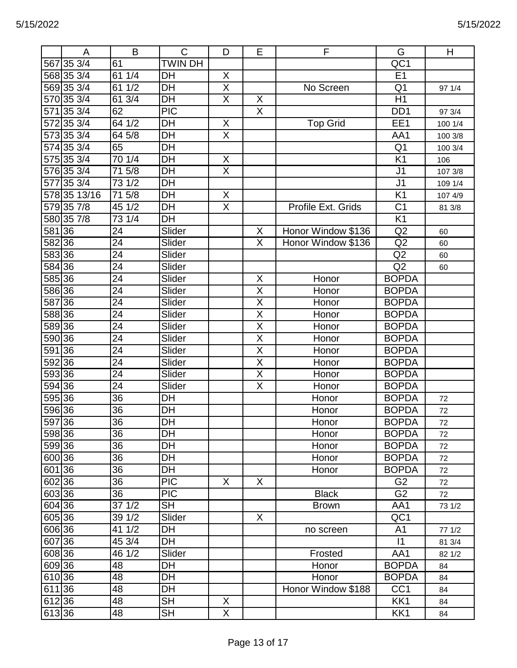|        | A            | B                | $\mathsf{C}$   | D              | E                       | F                  | G                | H       |
|--------|--------------|------------------|----------------|----------------|-------------------------|--------------------|------------------|---------|
|        | 567 35 3/4   | 61               | <b>TWIN DH</b> |                |                         |                    | QC1              |         |
|        | 568 35 3/4   | 61 1/4           | DH             | X              |                         |                    | E1               |         |
|        | 569 35 3/4   | 61 1/2           | DH             | $\overline{X}$ |                         | No Screen          | Q <sub>1</sub>   | 97 1/4  |
|        | 570 35 3/4   | 61 3/4           | DH             | $\overline{X}$ | $\overline{X}$          |                    | H1               |         |
|        | 571 35 3/4   | 62               | <b>PIC</b>     |                | $\overline{X}$          |                    | D <sub>D</sub> 1 | 97 3/4  |
|        | 572 35 3/4   | 64 1/2           | DH             | X              |                         | <b>Top Grid</b>    | EE1              | 100 1/4 |
|        | 573 35 3/4   | 64 5/8           | DH             | $\overline{X}$ |                         |                    | AA1              | 100 3/8 |
|        | 574 35 3/4   | 65               | DH             |                |                         |                    | Q <sub>1</sub>   | 100 3/4 |
|        | 575 35 3/4   | 701/4            | DH             | X              |                         |                    | $\overline{K1}$  | 106     |
|        | 576 35 3/4   | 715/8            | DH             | $\overline{X}$ |                         |                    | J <sub>1</sub>   | 107 3/8 |
|        | 577 35 3/4   | 73 1/2           | DH             |                |                         |                    | J <sub>1</sub>   | 109 1/4 |
|        | 578 35 13/16 | 5/8<br>71        | DH             | X              |                         |                    | K <sub>1</sub>   | 107 4/9 |
|        | 579 35 7/8   | 45 1/2           | DH             | X              |                         | Profile Ext. Grids | C <sub>1</sub>   | 81 3/8  |
|        | 580 35 7/8   | 73 1/4           | DH             |                |                         |                    | K <sub>1</sub>   |         |
| 581 36 |              | 24               | Slider         |                | X                       | Honor Window \$136 | Q2               | 60      |
| 582 36 |              | $\overline{24}$  | Slider         |                | $\overline{\mathsf{x}}$ | Honor Window \$136 | Q2               | 60      |
| 583 36 |              | 24               | Slider         |                |                         |                    | Q2               | 60      |
| 584 36 |              | 24               | Slider         |                |                         |                    | Q2               | 60      |
| 585 36 |              | 24               | Slider         |                | X                       | Honor              | <b>BOPDA</b>     |         |
| 586 36 |              | 24               | Slider         |                | X                       | Honor              | <b>BOPDA</b>     |         |
| 587 36 |              | 24               | Slider         |                | $\overline{\mathsf{x}}$ | Honor              | <b>BOPDA</b>     |         |
| 588 36 |              | 24               | Slider         |                | X                       | Honor              | <b>BOPDA</b>     |         |
| 589 36 |              | 24               | Slider         |                | $\overline{\mathsf{X}}$ | Honor              | <b>BOPDA</b>     |         |
| 590 36 |              | 24               | Slider         |                | $\overline{\mathsf{X}}$ | Honor              | <b>BOPDA</b>     |         |
| 591 36 |              | 24               | Slider         |                | $\overline{\mathsf{X}}$ | Honor              | <b>BOPDA</b>     |         |
| 59236  |              | 24               | Slider         |                | $\overline{\mathsf{X}}$ | Honor              | <b>BOPDA</b>     |         |
| 593 36 |              | $\overline{24}$  | Slider         |                | $\overline{\mathsf{X}}$ | Honor              | <b>BOPDA</b>     |         |
| 594 36 |              | 24               | Slider         |                | $\mathsf X$             | Honor              | <b>BOPDA</b>     |         |
| 595 36 |              | 36               | DH             |                |                         | Honor              | <b>BOPDA</b>     | 72      |
| 596 36 |              | 36               | DH             |                |                         | Honor              | <b>BOPDA</b>     | 72      |
| 597 36 |              | $\overline{36}$  | DH             |                |                         | Honor              | <b>BOPDA</b>     | 72      |
| 598 36 |              | 36               | DH             |                |                         | Honor              | <b>BOPDA</b>     | 72      |
| 599 36 |              | 36               | DH             |                |                         | Honor              | <b>BOPDA</b>     | 72      |
| 600 36 |              | 36               | DH             |                |                         | Honor              | <b>BOPDA</b>     | 72      |
| 601 36 |              | 36               | DH             |                |                         | Honor              | <b>BOPDA</b>     | 72      |
| 602 36 |              | 36               | <b>PIC</b>     | X              | X                       |                    | G <sub>2</sub>   | 72      |
| 603 36 |              | 36               | <b>PIC</b>     |                |                         | <b>Black</b>       | G <sub>2</sub>   | 72      |
| 604 36 |              | $37 \frac{1}{2}$ | <b>SH</b>      |                |                         | <b>Brown</b>       | AA1              | 73 1/2  |
| 605 36 |              | 39 1/2           | Slider         |                | X                       |                    | QC1              |         |
| 606 36 |              | 41 1/2           | DH             |                |                         | no screen          | A <sub>1</sub>   | 77 1/2  |
| 607 36 |              | 45 3/4           | DH             |                |                         |                    | $\vert$ 1        | 81 3/4  |
| 608 36 |              | 46 1/2           | Slider         |                |                         | Frosted            | AA1              | 82 1/2  |
| 609 36 |              | 48               | DH             |                |                         | Honor              | <b>BOPDA</b>     | 84      |
| 610 36 |              | 48               | DH             |                |                         | Honor              | <b>BOPDA</b>     | 84      |
| 611 36 |              | 48               | DH             |                |                         | Honor Window \$188 | CC <sub>1</sub>  | 84      |
| 612 36 |              | 48               | <b>SH</b>      | X              |                         |                    | KK1              | 84      |
| 613 36 |              | 48               | <b>SH</b>      | X              |                         |                    | KK1              | 84      |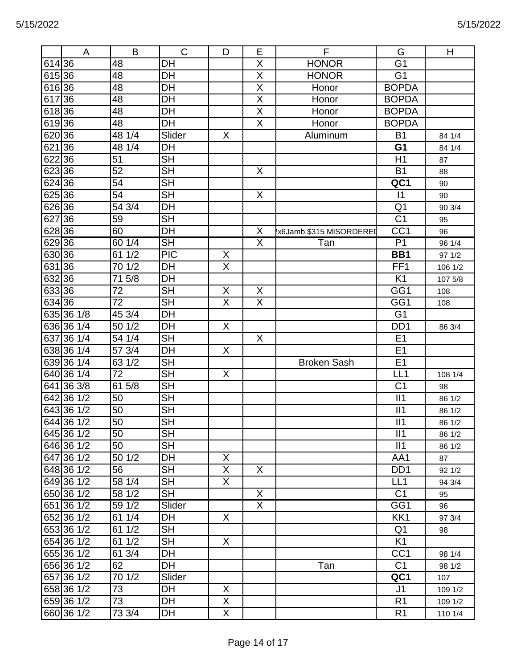|        | A          | B               | $\mathsf{C}$             | D                       | Е                       | F                       | G                | H       |
|--------|------------|-----------------|--------------------------|-------------------------|-------------------------|-------------------------|------------------|---------|
| 614 36 |            | 48              | DH                       |                         | X                       | <b>HONOR</b>            | G <sub>1</sub>   |         |
| 61536  |            | 48              | DH                       |                         | X                       | <b>HONOR</b>            | G <sub>1</sub>   |         |
| 616 36 |            | 48              | DH                       |                         | X                       | Honor                   | <b>BOPDA</b>     |         |
| 617    | 36         | 48              | DH                       |                         | $\overline{\sf X}$      | Honor                   | <b>BOPDA</b>     |         |
| 61836  |            | 48              | DH                       |                         | X                       | Honor                   | <b>BOPDA</b>     |         |
| 61936  |            | 48              | <b>DH</b>                |                         | X                       | Honor                   | <b>BOPDA</b>     |         |
| 620 36 |            | 48 1/4          | Slider                   | X                       |                         | Aluminum                | <b>B1</b>        | 84 1/4  |
| 621 36 |            | 48 1/4          | DH                       |                         |                         |                         | G <sub>1</sub>   | 84 1/4  |
| 622 36 |            | 51              | <b>SH</b>                |                         |                         |                         | H1               | 87      |
| 623 36 |            | 52              | $\overline{\mathsf{SH}}$ |                         | X                       |                         | <b>B1</b>        | 88      |
| 624 36 |            | $\overline{54}$ | <b>SH</b>                |                         |                         |                         | QC1              | 90      |
| 625 36 |            | 54              | <b>SH</b>                |                         | X                       |                         | $\vert$ 1        | 90      |
| 62636  |            | 54 3/4          | DH                       |                         |                         |                         | Q <sub>1</sub>   | 90 3/4  |
| 62736  |            | 59              | <b>SH</b>                |                         |                         |                         | C <sub>1</sub>   | 95      |
| 628 36 |            | 60              | DH                       |                         | $\mathsf X$             | x6Jamb \$315 MISORDEREI | CC <sub>1</sub>  | 96      |
| 62936  |            | 60 1/4          | <b>SH</b>                |                         | $\overline{\mathsf{X}}$ | Tan                     | P <sub>1</sub>   | 96 1/4  |
| 630 36 |            | 61 1/2          | <b>PIC</b>               | X                       |                         |                         | BB1              | 97 1/2  |
| 631 36 |            | 70 1/2          | DH                       | $\overline{\mathsf{X}}$ |                         |                         | FF1              | 106 1/2 |
| 63236  |            | 5/8<br>71       | DH                       |                         |                         |                         | K <sub>1</sub>   | 107 5/8 |
| 63336  |            | 72              | <b>SH</b>                | X                       | X                       |                         | GG1              | 108     |
| 634 36 |            | 72              | <b>SH</b>                | $\overline{\mathsf{X}}$ | $\overline{X}$          |                         | GG1              | 108     |
|        | 635 36 1/8 | 45 3/4          | DH                       |                         |                         |                         | G <sub>1</sub>   |         |
|        | 636 36 1/4 | 50 1/2          | DH                       | X                       |                         |                         | DD <sub>1</sub>  | 86 3/4  |
|        | 637 36 1/4 | 54 1/4          | <b>SH</b>                |                         | X                       |                         | E <sub>1</sub>   |         |
|        | 638 36 1/4 | 57 3/4          | DH                       | X                       |                         |                         | E <sub>1</sub>   |         |
|        | 63936 1/4  | 63 1/2          | <b>SH</b>                |                         |                         | <b>Broken Sash</b>      | E1               |         |
|        | 640 36 1/4 | 72              | <b>SH</b>                | X                       |                         |                         | LL <sub>1</sub>  | 108 1/4 |
|        | 641 36 3/8 | 61 5/8          | <b>SH</b>                |                         |                         |                         | C <sub>1</sub>   | 98      |
|        | 642 36 1/2 | 50              | <b>SH</b>                |                         |                         |                         | II1              | 86 1/2  |
|        | 643 36 1/2 | 50              | <b>SH</b>                |                         |                         |                         | II1              | 86 1/2  |
|        | 644 36 1/2 | $50\,$          | SH                       |                         |                         |                         | II1              | 86 1/2  |
|        | 645 36 1/2 | 50              | <b>SH</b>                |                         |                         |                         | II1              | 86 1/2  |
|        | 646 36 1/2 | 50              | <b>SH</b>                |                         |                         |                         | II1              | 86 1/2  |
|        | 647 36 1/2 | 50 1/2          | DH                       | X                       |                         |                         | AA1              | 87      |
|        | 648 36 1/2 | 56              | <b>SH</b>                | X                       | X                       |                         | D <sub>D</sub> 1 | 92 1/2  |
|        | 649 36 1/2 | 58 1/4          | <b>SH</b>                | X                       |                         |                         | LL1              | 94 3/4  |
|        | 650 36 1/2 | 58 1/2          | <b>SH</b>                |                         | X.                      |                         | C <sub>1</sub>   | 95      |
|        | 651 36 1/2 | 59 1/2          | Slider                   |                         | X.                      |                         | GG1              | 96      |
|        | 652 36 1/2 | 61 1/4          | DH                       | X                       |                         |                         | KK1              | 97 3/4  |
|        | 653 36 1/2 | 61 1/2          | <b>SH</b>                |                         |                         |                         | Q <sub>1</sub>   | 98      |
|        | 654 36 1/2 | 61 1/2          | <b>SH</b>                | X                       |                         |                         | K <sub>1</sub>   |         |
|        | 655 36 1/2 | 61 3/4          | DH                       |                         |                         |                         | CC <sub>1</sub>  | 98 1/4  |
|        | 656 36 1/2 | 62              | DH                       |                         |                         | Tan                     | C <sub>1</sub>   | 98 1/2  |
|        | 657 36 1/2 | 70 1/2          | Slider                   |                         |                         |                         | QC1              | 107     |
|        | 658 36 1/2 | 73              | DH                       | X                       |                         |                         | J <sub>1</sub>   | 109 1/2 |
|        | 659 36 1/2 | 73              | DH                       | X                       |                         |                         | R <sub>1</sub>   | 109 1/2 |
|        | 660 36 1/2 | 73 3/4          | DH                       | $\mathsf{X}$            |                         |                         | R <sub>1</sub>   | 110 1/4 |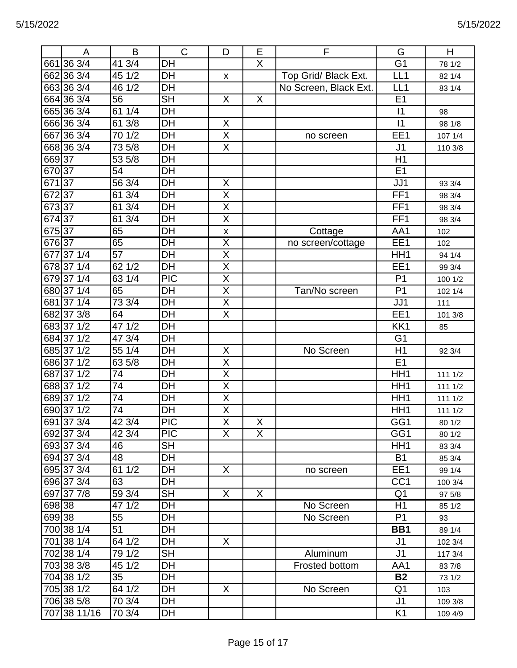|        | A                | B                  | $\mathsf{C}$             | D                       | E                       | F                     | G               | H       |
|--------|------------------|--------------------|--------------------------|-------------------------|-------------------------|-----------------------|-----------------|---------|
| 661    | $36 \frac{3}{4}$ | 41 3/4             | DH                       |                         | Χ                       |                       | G <sub>1</sub>  | 78 1/2  |
|        | 662 36 3/4       | 1/2<br>45          | DH                       | X                       |                         | Top Grid/ Black Ext.  | LL <sub>1</sub> | 82 1/4  |
|        | 663 36 3/4       | 46 1/2             | DH                       |                         |                         | No Screen, Black Ext. | LL <sub>1</sub> | 83 1/4  |
|        | 664 36 3/4       | $\overline{56}$    | $\overline{\mathsf{SH}}$ | X                       | $\overline{\mathsf{X}}$ |                       | E <sub>1</sub>  |         |
|        | 665 36 3/4       | 1/4<br>61          | DH                       |                         |                         |                       | $\vert$ 1       | 98      |
|        | 666 36 3/4       | 61 3/8             | <b>DH</b>                | X                       |                         |                       | $\overline{11}$ | 98 1/8  |
|        | 667 36 3/4       | 1/2<br>70          | DH                       | $\overline{\mathsf{X}}$ |                         | no screen             | EE1             | 107 1/4 |
|        | 668 36 3/4       | 73 5/8             | <b>DH</b>                | X                       |                         |                       | J <sub>1</sub>  | 110 3/8 |
| 66937  |                  | 53 5/8             | DH                       |                         |                         |                       | H1              |         |
| 670 37 |                  | 54                 | DH                       |                         |                         |                       | E <sub>1</sub>  |         |
| 671    | 137              | 56 3/4             | DH                       | X                       |                         |                       | JJ1             | 93 3/4  |
| 67237  |                  | 3/4<br>61          | DH                       | X                       |                         |                       | FF1             | 98 3/4  |
| 67337  |                  | 61 3/4             | DH                       | $\overline{\mathsf{X}}$ |                         |                       | FF1             | 98 3/4  |
| 674 37 |                  | 61 3/4             | DH                       | X                       |                         |                       | FF <sub>1</sub> | 98 3/4  |
| 67537  |                  | 65                 | DH                       | X                       |                         | Cottage               | AA1             | 102     |
| 67637  |                  | 65                 | DH                       | X                       |                         | no screen/cottage     | EE1             | 102     |
|        | 677371/4         | 57                 | DH                       | Χ                       |                         |                       | HH <sub>1</sub> | 94 1/4  |
|        | 678 37 1/4       | $62$ 1/2           | DH                       | $\overline{\mathsf{X}}$ |                         |                       | EE1             | 99 3/4  |
|        | 679371/4         | 63 1/4             | <b>PIC</b>               | Χ                       |                         |                       | P <sub>1</sub>  | 100 1/2 |
|        | 680 37 1/4       | 65                 | $\overline{DH}$          | X                       |                         | Tan/No screen         | P <sub>1</sub>  | 102 1/4 |
|        | 681 37 1/4       | 73 3/4             | DH                       | X                       |                         |                       | JJ1             | 111     |
|        | 682 37 3/8       | 64                 | DH                       | X                       |                         |                       | EE1             | 101 3/8 |
|        | 683 37 1/2       | 471/2              | DH                       |                         |                         |                       | KK1             | 85      |
|        | 684 37 1/2       | 47 3/4             | DH                       |                         |                         |                       | G <sub>1</sub>  |         |
|        | 685371/2         | 55 1/4             | DH                       | X                       |                         | No Screen             | H1              | 92 3/4  |
|        | 686 37 1/2       | 63 5/8             | DH                       | X                       |                         |                       | E <sub>1</sub>  |         |
| 687    | $37 \frac{1}{2}$ | 74                 | DH                       | Χ                       |                         |                       | HH <sub>1</sub> | 111 1/2 |
|        | 688371/2         | 74                 | DH                       | X                       |                         |                       | HH <sub>1</sub> | 111 1/2 |
|        | 689 37 1/2       | 74                 | DH                       | $\overline{\sf x}$      |                         |                       | HH <sub>1</sub> | 111 1/2 |
|        | 690 37 1/2       | 74                 | DH                       | X                       |                         |                       | HH <sub>1</sub> | 111 1/2 |
|        | 691 37 3/4       | 423/4              | PIC                      | $\overline{X}$          | $\mathsf{X}$            |                       | GG1             | 80 1/2  |
|        | 692 37 3/4       | 42 3/4             | <b>PIC</b>               | X                       | X                       |                       | GG1             | 80 1/2  |
|        | 693 37 3/4       | 46                 | <b>SH</b>                |                         |                         |                       | HH <sub>1</sub> | 83 3/4  |
|        | 694 37 3/4       | 48                 | DH                       |                         |                         |                       | <b>B1</b>       | 85 3/4  |
|        | 695 37 3/4       | 61 1/2             | DH                       | X                       |                         | no screen             | EE1             | 99 1/4  |
|        | 696 37 3/4       | 63                 | DH                       |                         |                         |                       | CC <sub>1</sub> | 100 3/4 |
|        | 697 37 7/8       | 59 3/4             | <b>SH</b>                | X                       | $\sf X$                 |                       | Q <sub>1</sub>  | 97 5/8  |
| 698 38 |                  | $\frac{1}{47}$ 1/2 | DH                       |                         |                         | No Screen             | H1              | 85 1/2  |
| 69938  |                  | 55                 | DH                       |                         |                         | No Screen             | P <sub>1</sub>  | 93      |
|        | 700 38 1/4       | 51                 | DH                       |                         |                         |                       | BB1             | 89 1/4  |
|        | 701 38 1/4       | 64 1/2             | DH                       | X                       |                         |                       | J <sub>1</sub>  | 102 3/4 |
|        | 702 38 1/4       | 79 1/2             | <b>SH</b>                |                         |                         | Aluminum              | J <sub>1</sub>  | 117 3/4 |
|        | 703 38 3/8       | 45 1/2             | DH                       |                         |                         | Frosted bottom        | AA1             | 83 7/8  |
|        | 704 38 1/2       | 35                 | DH                       |                         |                         |                       | <b>B2</b>       | 73 1/2  |
|        | 705 38 1/2       | 64 1/2             | DH                       | X                       |                         | No Screen             | Q <sub>1</sub>  | 103     |
|        | 706 38 5/8       | 70 3/4             | DH                       |                         |                         |                       | J <sub>1</sub>  | 109 3/8 |
|        | 707 38 11/16     | 70 3/4             | DH                       |                         |                         |                       | K <sub>1</sub>  | 109 4/9 |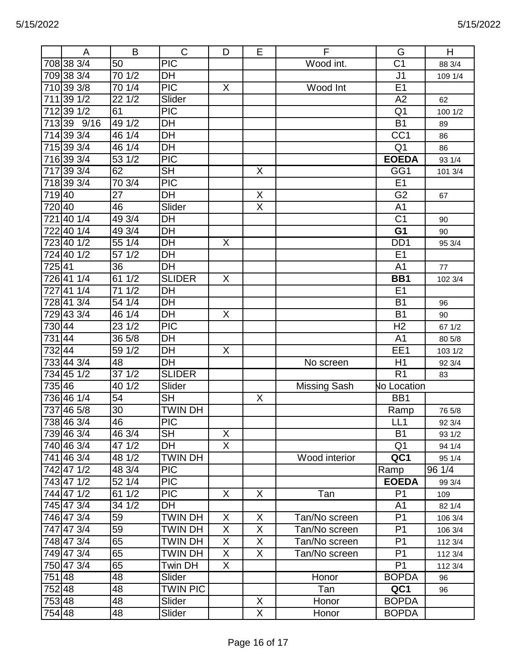|        | A                | B      | $\mathbf C$              | D              | E              | F                   | G                  | H       |
|--------|------------------|--------|--------------------------|----------------|----------------|---------------------|--------------------|---------|
|        | 708 38 3/4       | 50     | <b>PIC</b>               |                |                | Wood int.           | C <sub>1</sub>     | 88 3/4  |
|        | 709 38 3/4       | 701/2  | DH                       |                |                |                     | J <sub>1</sub>     | 109 1/4 |
|        | 710 39 3/8       | 70 1/4 | $\overline{PIC}$         | X              |                | Wood Int            | E1                 |         |
| 711    | $39 \frac{1}{2}$ | 221/2  | Slider                   |                |                |                     | A2                 | 62      |
|        | 712 39 1/2       | 61     | $\overline{PIC}$         |                |                |                     | Q <sub>1</sub>     | 100 1/2 |
|        | 713 39 9/16      | 49 1/2 | DH                       |                |                |                     | <b>B1</b>          | 89      |
|        | 714 39 3/4       | 46 1/4 | $\overline{DH}$          |                |                |                     | $\overline{CC1}$   | 86      |
|        | 715 39 3/4       | 46 1/4 | DH                       |                |                |                     | Q <sub>1</sub>     | 86      |
|        | 716 39 3/4       | 531/2  | $\overline{PIC}$         |                |                |                     | <b>EOEDA</b>       | 93 1/4  |
|        | 717 39 3/4       | 62     | $\overline{\mathsf{SH}}$ |                | X              |                     | GG1                | 101 3/4 |
|        | 718 39 3/4       | 70 3/4 | <b>PIC</b>               |                |                |                     | E1                 |         |
| 71940  |                  | 27     | <b>DH</b>                |                | X              |                     | $\overline{G2}$    | 67      |
| 720 40 |                  | 46     | Slider                   |                | X              |                     | A <sub>1</sub>     |         |
|        | 72140 1/4        | 49 3/4 | DH                       |                |                |                     | C <sub>1</sub>     | 90      |
|        | 72240 1/4        | 49 3/4 | <b>DH</b>                |                |                |                     | G <sub>1</sub>     | 90      |
|        | 723 40 1/2       | 551/4  | DH                       | X              |                |                     | D <sub>D</sub> 1   | 95 3/4  |
|        | 724 40 1/2       | 57 1/2 | DH                       |                |                |                     | E1                 |         |
| 72541  |                  | 36     | DH                       |                |                |                     | A <sub>1</sub>     | $77$    |
|        | 726411/4         | 61 1/2 | <b>SLIDER</b>            | X              |                |                     | BB1                | 102 3/4 |
|        | 727411/4         | 71 1/2 | DH                       |                |                |                     | E <sub>1</sub>     |         |
|        | 728 41 3/4       | 54 1/4 | DH                       |                |                |                     | <b>B1</b>          | 96      |
|        | 729433/4         | 46 1/4 | DH                       | X              |                |                     | <b>B1</b>          | 90      |
| 73044  |                  | 23 1/2 | $\overline{PIC}$         |                |                |                     | H <sub>2</sub>     | 67 1/2  |
| 73144  |                  | 36 5/8 | DH                       |                |                |                     | A <sub>1</sub>     | 80 5/8  |
| 732 44 |                  | 59 1/2 | DH                       | X              |                |                     | EE1                | 103 1/2 |
|        | 733443/4         | 48     | <b>DH</b>                |                |                | No screen           | H1                 | 92 3/4  |
|        | 734 45 1/2       | 37 1/2 | <b>SLIDER</b>            |                |                |                     | R <sub>1</sub>     | 83      |
| 735 46 |                  | 40 1/2 | Slider                   |                |                | <b>Missing Sash</b> | <b>No Location</b> |         |
|        | 736 46 1/4       | 54     | <b>SH</b>                |                | X              |                     | BB1                |         |
|        | 737 46 5/8       | 30     | <b>TWIN DH</b>           |                |                |                     | Ramp               | 76 5/8  |
|        | 738 46 3/4       | 46     | $\overline{PIC}$         |                |                |                     | LL1                | 92 3/4  |
|        | 739 46 3/4       | 46 3/4 | <b>SH</b>                | X              |                |                     | <b>B1</b>          | 93 1/2  |
|        | 740 46 3/4       | 47 1/2 | DH                       | X              |                |                     | Q <sub>1</sub>     | 94 1/4  |
|        | 741 46 3/4       | 48 1/2 | <b>TWIN DH</b>           |                |                | Wood interior       | QC1                | 95 1/4  |
|        | 742 47 1/2       | 48 3/4 | <b>PIC</b>               |                |                |                     | Ramp               | 96 1/4  |
|        | 743471/2         | 52 1/4 | <b>PIC</b>               |                |                |                     | <b>EOEDA</b>       | 99 3/4  |
|        | 744471/2         | 61 1/2 | <b>PIC</b>               | X              | X              | Tan                 | P <sub>1</sub>     | 109     |
|        | 745 47 3/4       | 34 1/2 | DH                       |                |                |                     | A <sub>1</sub>     | 82 1/4  |
|        | 746 47 3/4       | 59     | TWIN DH                  | X              | X              | Tan/No screen       | P <sub>1</sub>     | 106 3/4 |
|        | 747 47 3/4       | 59     | <b>TWIN DH</b>           | X              | $\overline{X}$ | Tan/No screen       | P <sub>1</sub>     | 106 3/4 |
|        | 748 47 3/4       | 65     | <b>TWIN DH</b>           | $\sf X$        | X              | Tan/No screen       | P <sub>1</sub>     | 112 3/4 |
|        | 749 47 3/4       | 65     | TWIN DH                  | X              | X              | Tan/No screen       | P <sub>1</sub>     | 112 3/4 |
|        | 750 47 3/4       | 65     | Twin DH                  | $\overline{X}$ |                |                     | P <sub>1</sub>     | 112 3/4 |
| 751 48 |                  | 48     | Slider                   |                |                | Honor               | <b>BOPDA</b>       | 96      |
| 75248  |                  | 48     | <b>TWIN PIC</b>          |                |                | Tan                 | QC1                | 96      |
| 753 48 |                  | 48     | Slider                   |                | X              | Honor               | <b>BOPDA</b>       |         |
| 754 48 |                  | 48     | Slider                   |                | X              | Honor               | <b>BOPDA</b>       |         |